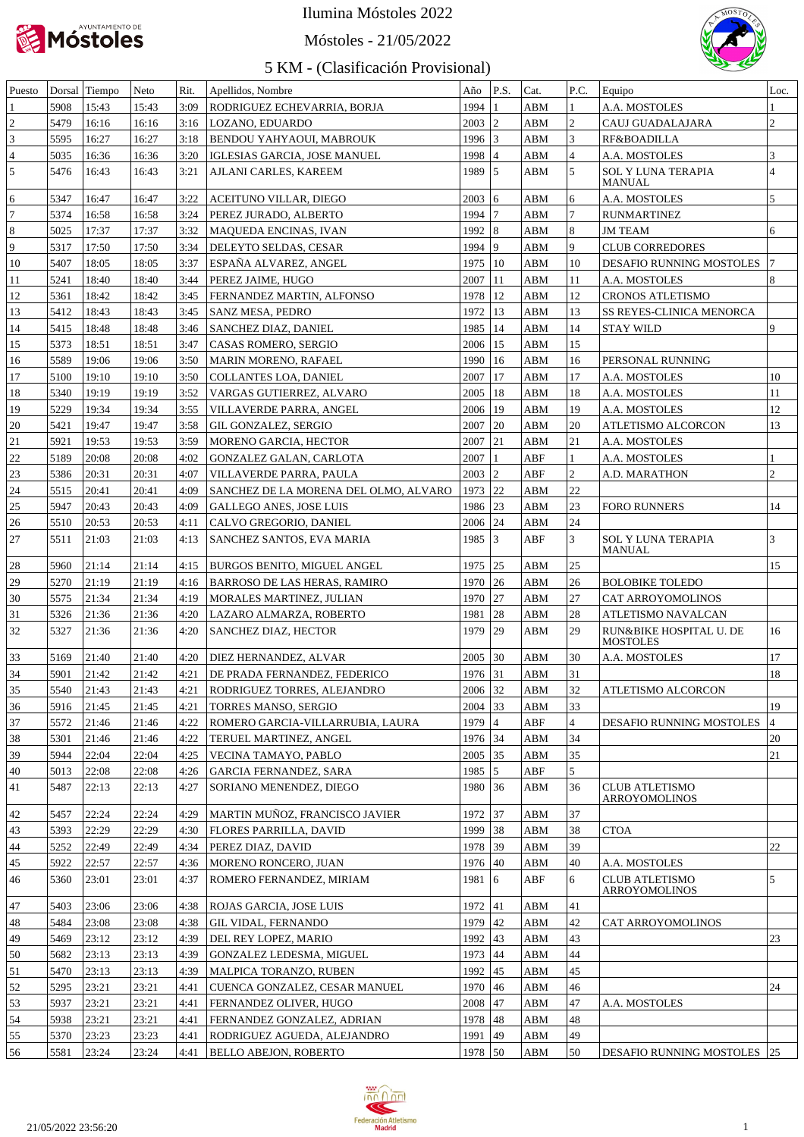

# Móstoles - 21/05/2022



| Puesto           |      | Dorsal Tiempo | Neto  | Rit. | Apellidos, Nombre                     | Año           | P.S.           | Cat.        | P.C.           | Equipo                                     | Loc.           |
|------------------|------|---------------|-------|------|---------------------------------------|---------------|----------------|-------------|----------------|--------------------------------------------|----------------|
|                  | 5908 | 15:43         | 15:43 | 3:09 | RODRIGUEZ ECHEVARRIA, BORJA           | 1994          |                | ABM         | $\mathbf{1}$   | A.A. MOSTOLES                              |                |
| $\mathfrak{2}$   | 5479 | 16:16         | 16:16 | 3:16 | LOZANO, EDUARDO                       | 2003          | 12             | ABM         | $\vert$ 2      | CAUJ GUADALAJARA                           | $ 2\rangle$    |
| 3                | 5595 | 16:27         | 16:27 | 3:18 | BENDOU YAHYAOUI, MABROUK              | $1996$ 3      |                | ABM         | $\vert$ 3      | RF&BOADILLA                                |                |
| $\overline{4}$   | 5035 | 16:36         | 16:36 | 3:20 | IGLESIAS GARCIA, JOSE MANUEL          | 1998          | $\overline{4}$ | ABM         | $\vert$ 4      | A.A. MOSTOLES                              | $\vert$ 3      |
| $\overline{5}$   | 5476 | 16:43         | 16:43 | 3:21 | AJLANI CARLES, KAREEM                 | 1989 5        |                | ABM         | $\overline{5}$ | <b>SOL Y LUNA TERAPIA</b><br>MANUAL        | $\overline{4}$ |
| 6                | 5347 | 16:47         | 16:47 | 3:22 | ACEITUNO VILLAR, DIEGO                | 2003   6      |                | ABM         | 6              | A.A. MOSTOLES                              | 5              |
| 7                | 5374 | 16:58         | 16:58 | 3:24 | PEREZ JURADO, ALBERTO                 | 1994          | 7              | ABM         | 17             | <b>RUNMARTINEZ</b>                         |                |
| $\boldsymbol{8}$ | 5025 | 17:37         | 17:37 | 3:32 | <b>MAQUEDA ENCINAS, IVAN</b>          | $1992$ 8      |                | ABM         | 8              | <b>JM TEAM</b>                             | 6              |
| $\overline{9}$   | 5317 | 17:50         | 17:50 | 3:34 | DELEYTO SELDAS, CESAR                 | 1994          | 9              | ABM         | 9              | <b>CLUB CORREDORES</b>                     |                |
| 10               | 5407 | 18:05         | 18:05 | 3:37 | ESPAÑA ALVAREZ, ANGEL                 | 1975   10     |                | ABM         | 10             | DESAFIO RUNNING MOSTOLES                   | 17             |
| 11               | 5241 | 18:40         | 18:40 | 3:44 | PEREZ JAIME, HUGO                     | 2007   11     |                | ABM         | 11             | A.A. MOSTOLES                              | 8              |
| 12               | 5361 | 18:42         | 18:42 | 3:45 | FERNANDEZ MARTIN, ALFONSO             | 1978   12     |                | ABM         | 12             | <b>CRONOS ATLETISMO</b>                    |                |
| 13               | 5412 | 18:43         | 18:43 | 3:45 | SANZ MESA, PEDRO                      | 1972          | 13             | ABM         | 13             | SS REYES-CLINICA MENORCA                   |                |
| 14               | 5415 | 18:48         | 18:48 | 3:46 | SANCHEZ DIAZ, DANIEL                  | 1985   14     |                | ABM         | 14             | <b>STAY WILD</b>                           | 9              |
| 15               | 5373 | 18:51         | 18:51 | 3:47 | CASAS ROMERO, SERGIO                  | 2006   15     |                | ABM         | 15             |                                            |                |
| 16               | 5589 | 19:06         | 19:06 | 3:50 | MARIN MORENO, RAFAEL                  | 1990   16     |                | ABM         | 16             | PERSONAL RUNNING                           |                |
| 17               | 5100 | 19:10         | 19:10 | 3:50 | COLLANTES LOA, DANIEL                 | $2007$   17   |                | ABM         | 17             | A.A. MOSTOLES                              | 10             |
| 18               | 5340 | 19:19         | 19:19 | 3:52 | VARGAS GUTIERREZ, ALVARO              | $2005$   18   |                | ABM         | 18             | A.A. MOSTOLES                              | 11             |
| 19               | 5229 | 19:34         | 19:34 | 3:55 | VILLAVERDE PARRA, ANGEL               | $2006$   19   |                | ABM         | 19             | A.A. MOSTOLES                              | 12             |
| 20               | 5421 | 19:47         | 19:47 | 3:58 | GIL GONZALEZ, SERGIO                  | $2007$ 20     |                | ABM         | 20             | ATLETISMO ALCORCON                         | 13             |
| 21               | 5921 | 19:53         | 19:53 | 3:59 | MORENO GARCIA, HECTOR                 | $2007$ 21     |                | ABM         | 21             | A.A. MOSTOLES                              |                |
| 22               | 5189 | 20:08         | 20:08 | 4:02 | GONZALEZ GALAN, CARLOTA               | 2007          | $\mathbf{1}$   | ABF         | 1              | A.A. MOSTOLES                              |                |
| 23               | 5386 | 20:31         | 20:31 | 4:07 | VILLAVERDE PARRA, PAULA               | $2003$ 2      |                | ABF         | $ 2\rangle$    | A.D. MARATHON                              | $\overline{2}$ |
| 24               | 5515 | 20:41         | 20:41 | 4:09 | SANCHEZ DE LA MORENA DEL OLMO, ALVARO | 1973 22       |                | ABM         | 22             |                                            |                |
| 25               | 5947 | 20:43         | 20:43 | 4:09 | GALLEGO ANES, JOSE LUIS               | 1986 23       |                | ABM         | 23             | <b>FORO RUNNERS</b>                        | 14             |
| 26               | 5510 | 20:53         | 20:53 | 4:11 | CALVO GREGORIO, DANIEL                | 2006 24       |                | ABM         | 24             |                                            |                |
| $27\,$           | 5511 | 21:03         | 21:03 | 4:13 | SANCHEZ SANTOS, EVA MARIA             | $1985$ 3      |                | ABF         | 3              | SOL Y LUNA TERAPIA<br><b>MANUAL</b>        | $\vert$ 3      |
| 28               | 5960 | 21:14         | 21:14 | 4:15 | <b>BURGOS BENITO, MIGUEL ANGEL</b>    | 1975   25     |                | ABM         | 25             |                                            | 15             |
| 29               | 5270 | 21:19         | 21:19 | 4:16 | <b>BARROSO DE LAS HERAS, RAMIRO</b>   | 1970 26       |                | ABM         | 26             | <b>BOLOBIKE TOLEDO</b>                     |                |
| 30               | 5575 | 21:34         | 21:34 | 4:19 | MORALES MARTINEZ, JULIAN              | 1970 27       |                | ABM         | 27             | CAT ARROYOMOLINOS                          |                |
| 31               | 5326 | 21:36         | 21:36 | 4:20 | LAZARO ALMARZA, ROBERTO               | 1981          | 28             | ABM         | 28             | ATLETISMO NAVALCAN                         |                |
| 32               | 5327 | 21:36         | 21:36 | 4:20 | SANCHEZ DIAZ, HECTOR                  | 1979          | 29             | ABM         | 29             | RUN&BIKE HOSPITAL U. DE<br><b>MOSTOLES</b> | 16             |
| 33               | 5169 | 21:40         | 21:40 | 4:20 | DIEZ HERNANDEZ, ALVAR                 | 2005          | 30             | ABM         | 30             | A.A. MOSTOLES                              | 17             |
| 34               | 5901 | 21:42         | 21:42 | 4:21 | DE PRADA FERNANDEZ. FEDERICO          | 1976 31       |                | ABM         | 31             |                                            | 18             |
| 35               | 5540 | 21:43         | 21:43 | 4:21 | RODRIGUEZ TORRES, ALEJANDRO           | 2006 32       |                | ${\bf ABM}$ | 32             | ATLETISMO ALCORCON                         |                |
| 36               | 5916 | 21:45         | 21:45 | 4:21 | <b>TORRES MANSO, SERGIO</b>           | 2004          | $ 33\rangle$   | ABM         | 33             |                                            | 19             |
| 37               | 5572 | 21:46         | 21:46 | 4:22 | ROMERO GARCIA-VILLARRUBIA, LAURA      | 1979          | $\overline{4}$ | ABF         | $\overline{4}$ | <b>DESAFIO RUNNING MOSTOLES</b>            | $\overline{4}$ |
| 38               | 5301 | 21:46         | 21:46 | 4:22 | TERUEL MARTINEZ, ANGEL                | 1976 34       |                | ABM         | 34             |                                            | 20             |
| 39               | 5944 | 22:04         | 22:04 | 4:25 | VECINA TAMAYO, PABLO                  | 2005          | 35             | ABM         | 35             |                                            | 21             |
| 40               | 5013 | 22:08         | 22:08 | 4:26 | <b>GARCIA FERNANDEZ, SARA</b>         | 1985          | 5              | ABF         | 5              |                                            |                |
| 41               | 5487 | 22:13         | 22:13 | 4:27 | SORIANO MENENDEZ, DIEGO               | 1980          | 36             | ABM         | 36             | <b>CLUB ATLETISMO</b><br>ARROYOMOLINOS     |                |
| 42               | 5457 | 22:24         | 22:24 | 4:29 | MARTIN MUÑOZ, FRANCISCO JAVIER        | 1972 37       |                | ABM         | 37             |                                            |                |
| 43               | 5393 | 22:29         | 22:29 | 4:30 | FLORES PARRILLA, DAVID                | 1999 38       |                | ABM         | 38             | <b>CTOA</b>                                |                |
| 44               | 5252 | 22:49         | 22:49 | 4:34 | PEREZ DIAZ, DAVID                     | 1978 39       |                | ABM         | 39             |                                            | 22             |
| 45               | 5922 | 22:57         | 22:57 | 4:36 | MORENO RONCERO, JUAN                  | 1976 40       |                | ABM         | 40             | A.A. MOSTOLES                              |                |
| 46               | 5360 | 23:01         | 23:01 | 4:37 | ROMERO FERNANDEZ, MIRIAM              | $1981 \;   6$ |                | ABF         | 6              | <b>CLUB ATLETISMO</b><br>ARROYOMOLINOS     | 5              |
| 47               | 5403 | 23:06         | 23:06 | 4:38 | ROJAS GARCIA, JOSE LUIS               | 1972 41       |                | ABM         | 41             |                                            |                |
| 48               | 5484 | 23:08         | 23:08 | 4:38 | <b>GIL VIDAL, FERNANDO</b>            | 1979          | 42             | ABM         | 42             | CAT ARROYOMOLINOS                          |                |
| 49               | 5469 | 23:12         | 23:12 | 4:39 | DEL REY LOPEZ, MARIO                  | 1992          | 43             | ABM         | 43             |                                            | 23             |
| 50               | 5682 | 23:13         | 23:13 | 4:39 | GONZALEZ LEDESMA, MIGUEL              | 1973          | 44             | ABM         | 44             |                                            |                |
| 51               | 5470 | 23:13         | 23:13 | 4:39 | MALPICA TORANZO, RUBEN                | 1992          | 45             | ABM         | 45             |                                            |                |
| 52               | 5295 | 23:21         | 23:21 | 4:41 | CUENCA GONZALEZ, CESAR MANUEL         | 1970          | 46             | ABM         | 46             |                                            | 24             |
| 53               | 5937 | 23:21         | 23:21 | 4:41 | FERNANDEZ OLIVER, HUGO                | 2008          | 47             | ABM         | 47             | A.A. MOSTOLES                              |                |
| 54               | 5938 | 23:21         | 23:21 | 4:41 | FERNANDEZ GONZALEZ, ADRIAN            | 1978 48       |                | ABM         | 48             |                                            |                |
| 55               | 5370 | 23:23         | 23:23 | 4:41 | RODRIGUEZ AGUEDA, ALEJANDRO           | 1991          | 49             | ABM         | 49             |                                            |                |
| 56               | 5581 | 23:24         | 23:24 | 4:41 | BELLO ABEJON, ROBERTO                 | 1978 50       |                | ABM         | 50             | <b>DESAFIO RUNNING MOSTOLES</b> 25         |                |

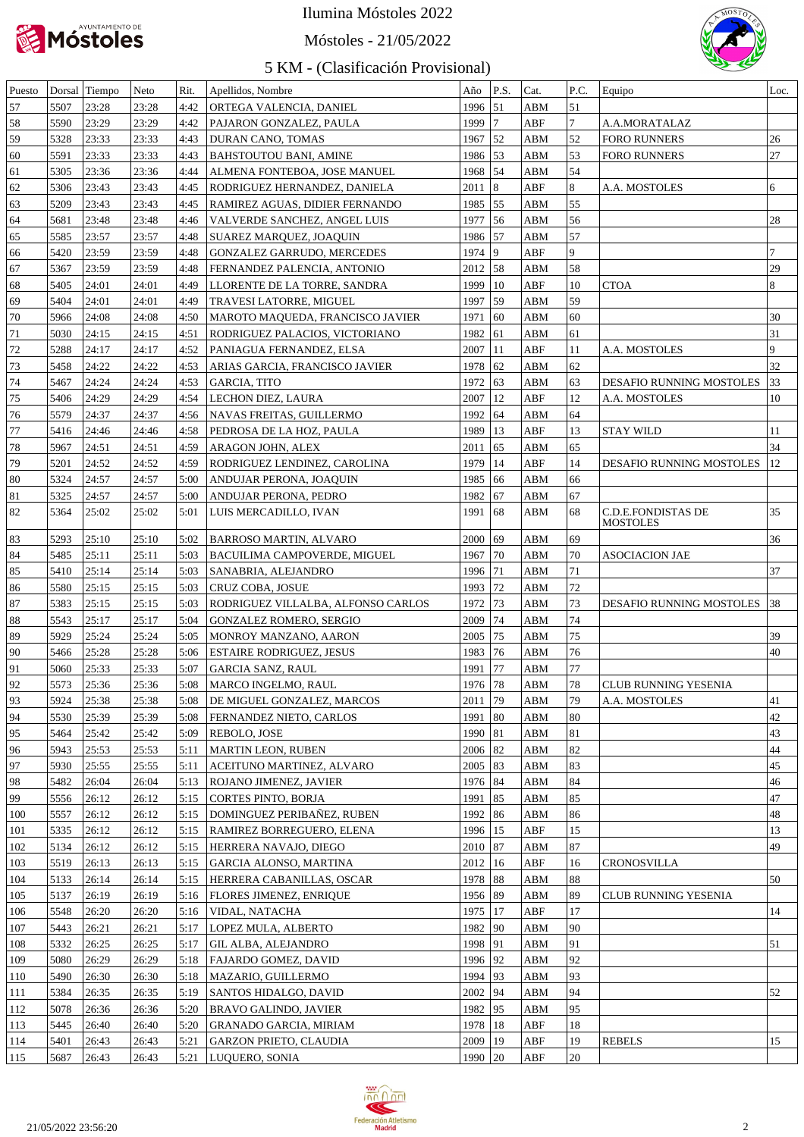

#### Móstoles - 21/05/2022



| Puesto |      | Dorsal Tiempo | Neto  | Rit. | Apellidos, Nombre                  | Año         | P.S. | Cat.                    | P.C.           | Equipo                   | Loc.           |
|--------|------|---------------|-------|------|------------------------------------|-------------|------|-------------------------|----------------|--------------------------|----------------|
| 57     | 5507 | 23:28         | 23:28 | 4:42 | ORTEGA VALENCIA, DANIEL            | 1996 51     |      | ABM                     | 51             |                          |                |
| 58     | 5590 | 23:29         | 23:29 | 4:42 | PAJARON GONZALEZ, PAULA            | 1999 7      |      | ABF                     | $\overline{7}$ | A.A.MORATALAZ            |                |
| 59     | 5328 | 23:33         | 23:33 | 4:43 | DURAN CANO, TOMAS                  | 1967 52     |      | ABM                     | 52             | <b>FORO RUNNERS</b>      | 26             |
| 60     | 5591 | 23:33         | 23:33 | 4:43 | <b>BAHSTOUTOU BANI, AMINE</b>      | 1986 53     |      | ABM                     | 53             | <b>FORO RUNNERS</b>      | 27             |
| 61     | 5305 | 23:36         | 23:36 | 4:44 | ALMENA FONTEBOA, JOSE MANUEL       | 1968 54     |      | ABM                     | 54             |                          |                |
| 62     | 5306 | 23:43         | 23:43 | 4:45 | RODRIGUEZ HERNANDEZ, DANIELA       | $2011$ 8    |      | ABF                     | 8              | A.A. MOSTOLES            | 6              |
| 63     | 5209 | 23:43         | 23:43 | 4:45 | RAMIREZ AGUAS, DIDIER FERNANDO     | 1985   55   |      | ABM                     | 55             |                          |                |
|        |      | 23:48         |       |      |                                    |             |      |                         | 56             |                          | 28             |
| 64     | 5681 |               | 23:48 | 4:46 | VALVERDE SANCHEZ, ANGEL LUIS       | 1977 56     |      | ABM                     |                |                          |                |
| 65     | 5585 | 23:57         | 23:57 | 4:48 | SUAREZ MARQUEZ, JOAQUIN            | 1986 57     |      | ABM                     | 57             |                          |                |
| 66     | 5420 | 23:59         | 23:59 | 4:48 | <b>GONZALEZ GARRUDO, MERCEDES</b>  | 1974   9    |      | ABF                     | $\overline{9}$ |                          |                |
| 67     | 5367 | 23:59         | 23:59 | 4:48 | FERNANDEZ PALENCIA, ANTONIO        | $2012$ 58   |      | ${\bf ABM}$             | 58             |                          | 29             |
| 68     | 5405 | 24:01         | 24:01 | 4:49 | LLORENTE DE LA TORRE, SANDRA       | 1999   10   |      | ABF                     | 10             | <b>CTOA</b>              | $\overline{8}$ |
| 69     | 5404 | 24:01         | 24:01 | 4:49 | TRAVESI LATORRE, MIGUEL            | 1997 59     |      | ABM                     | 59             |                          |                |
| 70     | 5966 | 24:08         | 24:08 | 4:50 | MAROTO MAQUEDA, FRANCISCO JAVIER   | 1971 60     |      | ABM                     | 60             |                          | 30             |
| 71     | 5030 | 24:15         | 24:15 | 4:51 | RODRIGUEZ PALACIOS, VICTORIANO     | 1982 61     |      | ABM                     | 61             |                          | 31             |
| 72     | 5288 | 124:17        | 24:17 | 4:52 | PANIAGUA FERNANDEZ, ELSA           | $2007$   11 |      | ABF                     | 11             | A.A. MOSTOLES            | $\overline{9}$ |
| 73     | 5458 | 24:22         | 24:22 | 4:53 | ARIAS GARCIA, FRANCISCO JAVIER     | 1978 62     |      | ABM                     | 62             |                          | 32             |
| 74     | 5467 | 24:24         | 24:24 | 4:53 | <b>GARCIA, TITO</b>                | 1972 63     |      | ABM                     | 63             | DESAFIO RUNNING MOSTOLES | 33             |
| 75     | 5406 | 24:29         | 24:29 | 4:54 | LECHON DIEZ, LAURA                 | $2007$   12 |      | ABF                     | 12             | A.A. MOSTOLES            | 10             |
| 76     | 5579 | 24:37         | 24:37 | 4:56 | NAVAS FREITAS, GUILLERMO           | 1992 64     |      | ABM                     | 64             |                          |                |
| 77     | 5416 | 24:46         | 24:46 | 4:58 | PEDROSA DE LA HOZ, PAULA           | 1989   13   |      | ABF                     | 13             | <b>STAY WILD</b>         | 11             |
| 78     | 5967 | 24:51         | 24:51 | 4:59 | ARAGON JOHN, ALEX                  | $2011$ 65   |      | ABM                     | 65             |                          | 34             |
| 79     | 5201 | 24:52         | 24:52 | 4:59 | RODRIGUEZ LENDINEZ, CAROLINA       | 1979   14   |      | ABF                     | 14             | DESAFIO RUNNING MOSTOLES | <sup>12</sup>  |
| 80     | 5324 | 24:57         | 24:57 | 5:00 | ANDUJAR PERONA, JOAQUIN            | 1985   66   |      | ${\bf A}{\bf B}{\bf M}$ | 66             |                          |                |
| 81     | 5325 | 24:57         | 24:57 | 5:00 | ANDUJAR PERONA, PEDRO              | 1982 67     |      | ABM                     | 67             |                          |                |
| 82     | 5364 | 25:02         | 25:02 | 5:01 | LUIS MERCADILLO, IVAN              | 1991        | 68   | ABM                     | 68             | C.D.E.FONDISTAS DE       | 35             |
|        |      |               |       |      |                                    |             |      |                         |                | <b>MOSTOLES</b>          |                |
| 83     | 5293 | 25:10         | 25:10 | 5:02 | <b>BARROSO MARTIN, ALVARO</b>      | 2000        | 69   | ABM                     | 69             |                          | 36             |
| 84     | 5485 | 25:11         | 25:11 | 5:03 | BACUILIMA CAMPOVERDE, MIGUEL       | 1967   70   |      | ABM                     | 70             | <b>ASOCIACION JAE</b>    |                |
| 85     | 5410 | 25:14         | 25:14 | 5:03 | SANABRIA, ALEJANDRO                | 1996   71   |      | ABM                     | 71             |                          | 37             |
| 86     | 5580 | 25:15         | 25:15 | 5:03 | CRUZ COBA, JOSUE                   | 1993   72   |      | ABM                     | 72             |                          |                |
| 87     | 5383 | 25:15         | 25:15 | 5:03 | RODRIGUEZ VILLALBA, ALFONSO CARLOS | 1972 73     |      | ABM                     | 73             | DESAFIO RUNNING MOSTOLES | 38             |
| 88     | 5543 | 25:17         | 25:17 | 5:04 | <b>GONZALEZ ROMERO, SERGIO</b>     | 2009        | 74   | ABM                     | 74             |                          |                |
|        |      |               |       |      |                                    |             |      |                         |                |                          | 39             |
| 89     | 5929 | 25:24         | 25:24 | 5:05 | MONROY MANZANO, AARON              | 2005   75   |      | ABM                     | 75             |                          |                |
| 90     | 5466 | 25:28         | 25:28 | 5:06 | <b>ESTAIRE RODRIGUEZ, JESUS</b>    | 1983   76   |      | ABM                     | 76             |                          | 40             |
| 91     | 5060 | 25:33         | 25:33 | 5:07 | <b>GARCIA SANZ, RAUL</b>           | 1991        | 77   | ABM                     | 77             |                          |                |
| 92     | 5573 | 25:36         | 25:36 | 5:08 | MARCO INGELMO, RAUL                | 1976   78   |      | ABM                     | 78             | CLUB RUNNING YESENIA     |                |
| 93     | 5924 | 25:38         | 25:38 | 5:08 | DE MIGUEL GONZALEZ, MARCOS         | $2011$   79 |      | ABM                     | 79             | A.A. MOSTOLES            | 41             |
| 94     | 5530 | 25:39         | 25:39 | 5:08 | FERNANDEZ NIETO, CARLOS            | 1991   80   |      | ABM                     | 80             |                          | 42             |
| 95     | 5464 | 25:42         | 25:42 | 5:09 | REBOLO, JOSE                       | 1990   81   |      | ABM                     | 81             |                          | 43             |
| 96     | 5943 | 25:53         | 25:53 | 5:11 | <b>MARTIN LEON, RUBEN</b>          | $2006$ 82   |      | ABM                     | 82             |                          | 44             |
| 97     | 5930 | 25:55         | 25:55 | 5:11 | ACEITUNO MARTINEZ, ALVARO          | $2005$ 83   |      | ABM                     | 83             |                          | 45             |
| 98     | 5482 | 26:04         | 26:04 | 5:13 | ROJANO JIMENEZ, JAVIER             | 1976   84   |      | ABM                     | 84             |                          | 46             |
| 99     | 5556 | 26:12         | 26:12 | 5:15 | CORTES PINTO, BORJA                | 1991   85   |      | ABM                     | 85             |                          | 47             |
| 100    | 5557 | 26:12         | 26:12 | 5:15 | DOMINGUEZ PERIBAÑEZ, RUBEN         | 1992   86   |      | ABM                     | 86             |                          | 48             |
| 101    | 5335 | 26:12         | 26:12 | 5:15 | RAMIREZ BORREGUERO, ELENA          | 1996   15   |      | ABF                     | 15             |                          | 13             |
| 102    | 5134 | 26:12         | 26:12 | 5:15 | HERRERA NAVAJO, DIEGO              | 2010   87   |      | ABM                     | 87             |                          | 49             |
| 103    | 5519 | 26:13         | 26:13 | 5:15 | GARCIA ALONSO, MARTINA             | $2012$   16 |      | ABF                     | 16             | CRONOSVILLA              |                |
| 104    | 5133 | 26:14         | 26:14 | 5:15 | HERRERA CABANILLAS, OSCAR          | 1978 88     |      | ABM                     | 88             |                          | 50             |
| 105    | 5137 | 26:19         | 26:19 | 5:16 | FLORES JIMENEZ, ENRIQUE            | 1956 89     |      | ABM                     | 89             | CLUB RUNNING YESENIA     |                |
|        |      |               |       |      |                                    | 1975   17   |      |                         | 17             |                          |                |
| 106    | 5548 | 26:20         | 26:20 | 5:16 | VIDAL, NATACHA                     |             |      | ABF                     |                |                          | 14             |
| 107    | 5443 | 26:21         | 26:21 | 5:17 | LOPEZ MULA, ALBERTO                | 1982   90   |      | ABM                     | 90             |                          |                |
| 108    | 5332 | 26:25         | 26:25 | 5:17 | GIL ALBA, ALEJANDRO                | 1998 91     |      | ABM                     | 91             |                          | 51             |
| 109    | 5080 | 26:29         | 26:29 | 5:18 | FAJARDO GOMEZ, DAVID               | 1996 92     |      | ABM                     | 92             |                          |                |
| 110    | 5490 | 26:30         | 26:30 | 5:18 | MAZARIO, GUILLERMO                 | 1994 93     |      | ABM                     | 93             |                          |                |
| 111    | 5384 | 26:35         | 26:35 | 5:19 | SANTOS HIDALGO, DAVID              | 2002 94     |      | ABM                     | 94             |                          | 52             |
| 112    | 5078 | 26:36         | 26:36 | 5:20 | BRAVO GALINDO, JAVIER              | 1982   95   |      | ABM                     | 95             |                          |                |
| 113    | 5445 | 26:40         | 26:40 | 5:20 | GRANADO GARCIA, MIRIAM             | 1978   18   |      | ABF                     | 18             |                          |                |
| 114    | 5401 | 26:43         | 26:43 | 5:21 | GARZON PRIETO, CLAUDIA             | 2009   19   |      | ABF                     | 19             | <b>REBELS</b>            | 15             |
| 115    | 5687 | 26:43         | 26:43 |      | 5:21  LUQUERO, SONIA               | 1990 20     |      | ABF                     | 20             |                          |                |

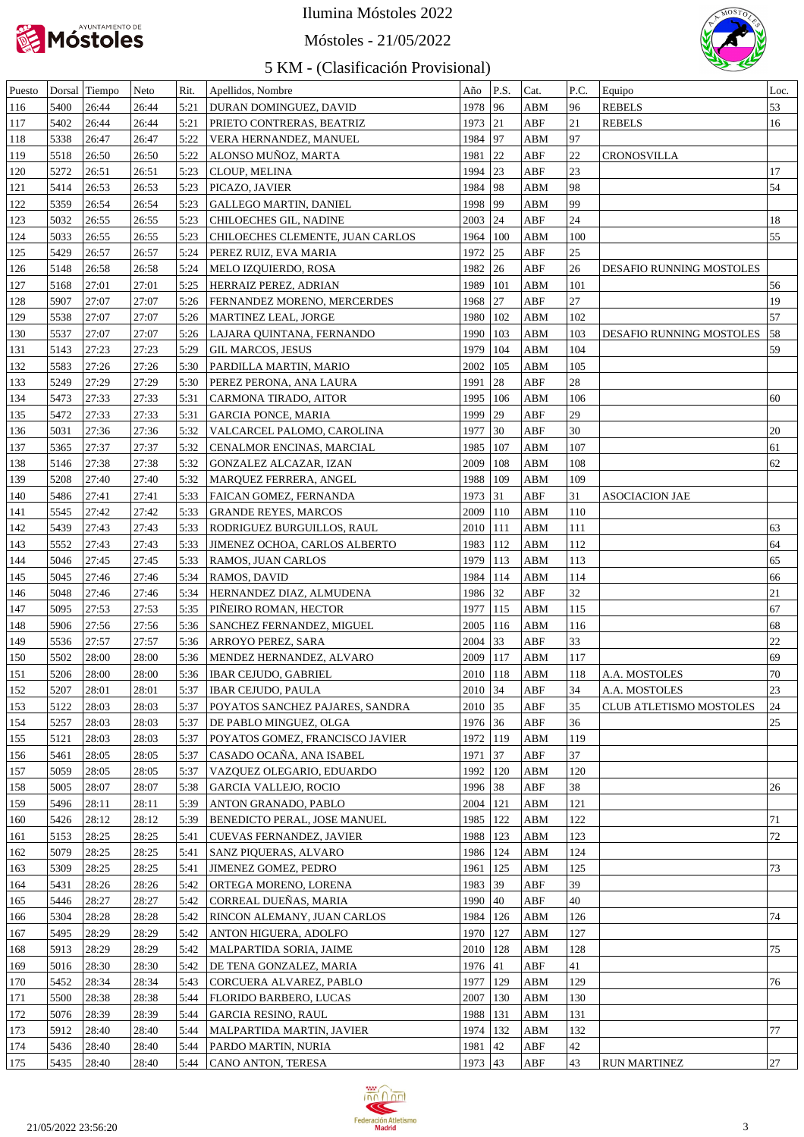

Móstoles - 21/05/2022



| Puesto |      | Dorsal Tiempo | Neto  | Rit. | Apellidos, Nombre                | Año        | P.S.                                 | Cat.        | P.C. | Equipo                          | Loc. |
|--------|------|---------------|-------|------|----------------------------------|------------|--------------------------------------|-------------|------|---------------------------------|------|
| 116    | 5400 | 26:44         | 26:44 | 5:21 | DURAN DOMINGUEZ, DAVID           | 1978       | 96                                   | ABM         | 96   | <b>REBELS</b>                   | 53   |
| 117    | 5402 | 26:44         | 26:44 | 5:21 | PRIETO CONTRERAS, BEATRIZ        | 1973 21    |                                      | ABF         | 21   | <b>REBELS</b>                   | 16   |
| 118    | 5338 | 26:47         | 26:47 | 5:22 | VERA HERNANDEZ, MANUEL           | 1984 97    |                                      | ABM         | 97   |                                 |      |
| 119    | 5518 | 26:50         | 26:50 | 5:22 | ALONSO MUÑOZ, MARTA              | 1981       | 22                                   | ABF         | 22   | <b>CRONOSVILLA</b>              |      |
| 120    | 5272 | 26:51         | 26:51 | 5:23 | CLOUP, MELINA                    | 1994 23    |                                      | ABF         | 23   |                                 | 17   |
| 121    | 5414 | 26:53         | 26:53 | 5:23 | PICAZO, JAVIER                   | 1984 98    |                                      | ABM         | 98   |                                 | 54   |
| 122    | 5359 | 26:54         | 26:54 | 5:23 | <b>GALLEGO MARTIN, DANIEL</b>    | 1998   99  |                                      | ABM         | 99   |                                 |      |
| 123    | 5032 | 26:55         | 26:55 | 5:23 | CHILOECHES GIL, NADINE           | $2003$ 24  |                                      | ABF         | 24   |                                 | 18   |
| 124    | 5033 | 26:55         | 26:55 | 5:23 | CHILOECHES CLEMENTE, JUAN CARLOS | 1964       | 100                                  | ABM         | 100  |                                 | 55   |
| 125    | 5429 | 26:57         | 26:57 | 5:24 | PEREZ RUIZ, EVA MARIA            | 1972 25    |                                      | ABF         | 25   |                                 |      |
|        | 5148 | 26:58         | 26:58 | 5:24 |                                  | 1982 26    |                                      | ABF         | 26   | <b>DESAFIO RUNNING MOSTOLES</b> |      |
| 126    |      |               |       |      | MELO IZQUIERDO, ROSA             |            |                                      |             |      |                                 |      |
| 127    | 5168 | 27:01         | 27:01 | 5:25 | HERRAIZ PEREZ, ADRIAN            | 1989       | 101                                  | ABM         | 101  |                                 | 56   |
| 128    | 5907 | 27:07         | 27:07 | 5:26 | FERNANDEZ MORENO, MERCERDES      | 1968       | 27                                   | ABF         | 27   |                                 | 19   |
| 129    | 5538 | 27:07         | 27:07 | 5:26 | MARTINEZ LEAL, JORGE             | 1980       | 102                                  | ABM         | 102  |                                 | 57   |
| 130    | 5537 | 27:07         | 27:07 | 5:26 | LAJARA QUINTANA, FERNANDO        | 1990       | 103                                  | ABM         | 103  | DESAFIO RUNNING MOSTOLES        | 58   |
| 131    | 5143 | 27:23         | 27:23 | 5:29 | GIL MARCOS, JESUS                | 1979       | 104                                  | ABM         | 104  |                                 | 59   |
| 132    | 5583 | 27:26         | 27:26 | 5:30 | PARDILLA MARTIN, MARIO           | 2002       | 105                                  | ABM         | 105  |                                 |      |
| 133    | 5249 | 27:29         | 27:29 | 5:30 | PEREZ PERONA, ANA LAURA          | 1991       | 28                                   | ABF         | 28   |                                 |      |
| 134    | 5473 | 27:33         | 27:33 | 5:31 | CARMONA TIRADO, AITOR            | 1995       | 106                                  | ABM         | 106  |                                 | 60   |
| 135    | 5472 | 27:33         | 27:33 | 5:31 | <b>GARCIA PONCE, MARIA</b>       | 1999       | $ 29\rangle$                         | ABF         | 29   |                                 |      |
| 136    | 5031 | 27:36         | 27:36 | 5:32 | VALCARCEL PALOMO, CAROLINA       | 1977       | 30                                   | ABF         | 30   |                                 | 20   |
| 137    | 5365 | 27:37         | 27:37 | 5:32 | CENALMOR ENCINAS, MARCIAL        | 1985       | 107                                  | ABM         | 107  |                                 | 61   |
| 138    | 5146 | 27:38         | 27:38 | 5:32 | GONZALEZ ALCAZAR, IZAN           | 2009       | 108                                  | ABM         | 108  |                                 | 62   |
| 139    | 5208 | 27:40         | 27:40 | 5:32 | MARQUEZ FERRERA, ANGEL           | 1988       | 109                                  | ABM         | 109  |                                 |      |
|        |      |               |       |      |                                  |            |                                      |             | 31   |                                 |      |
| 140    | 5486 | 27:41         | 27:41 | 5:33 | FAICAN GOMEZ, FERNANDA           | 1973 31    |                                      | ABF         |      | ASOCIACION JAE                  |      |
| 141    | 5545 | 27:42         | 27:42 | 5:33 | <b>GRANDE REYES, MARCOS</b>      | 2009       | 110                                  | ${\bf ABM}$ | 110  |                                 |      |
| 142    | 5439 | 27:43         | 27:43 | 5:33 | RODRIGUEZ BURGUILLOS, RAUL       | 2010   111 |                                      | ABM         | 111  |                                 | 63   |
| 143    | 5552 | 27:43         | 27:43 | 5:33 | JIMENEZ OCHOA, CARLOS ALBERTO    | 1983       | 112                                  | ABM         | 112  |                                 | 64   |
| 144    | 5046 | 27:45         | 27:45 | 5:33 | RAMOS, JUAN CARLOS               | 1979       | 113                                  | ABM         | 113  |                                 | 65   |
| 145    | 5045 | 27:46         | 27:46 | 5:34 | RAMOS, DAVID                     | 1984       | 114                                  | ABM         | 114  |                                 | 66   |
| 146    | 5048 | 27:46         | 27:46 | 5:34 | HERNANDEZ DIAZ, ALMUDENA         | 1986 32    |                                      | ABF         | 32   |                                 | 21   |
| 147    | 5095 | 27:53         | 27:53 | 5:35 | PIÑEIRO ROMAN, HECTOR            | 1977       | 115                                  | ABM         | 115  |                                 | 67   |
| 148    | 5906 | 27:56         | 27:56 | 5:36 | SANCHEZ FERNANDEZ, MIGUEL        | 2005       | 116                                  | ABM         | 116  |                                 | 68   |
| 149    | 5536 | 27:57         | 27:57 | 5:36 | ARROYO PEREZ, SARA               | 2004       | $\begin{array}{c} \n33\n\end{array}$ | ABF         | 33   |                                 | 22   |
| 150    | 5502 | 28:00         | 28:00 | 5:36 | MENDEZ HERNANDEZ, ALVARO         | 2009   117 |                                      | ABM         | 117  |                                 | 69   |
| 151    | 5206 | 28:00         | 28:00 | 5:36 | <b>IBAR CEJUDO, GABRIEL</b>      | 2010   118 |                                      | ABM         | 118  | A.A. MOSTOLES                   | 70   |
| 152    | 5207 | 28:01         | 28:01 |      | 5:37   IBAR CEJUDO, PAULA        | $2010$ 34  |                                      | ABF         | 34   | A.A. MOSTOLES                   | 23   |
| 153    | 5122 | 28:03         | 28:03 | 5:37 | POYATOS SANCHEZ PAJARES, SANDRA  | $2010$ 35  |                                      | ABF         | 35   | CLUB ATLETISMO MOSTOLES         | 24   |
| 154    | 5257 | 28:03         | 28:03 | 5:37 | DE PABLO MINGUEZ, OLGA           | 1976 36    |                                      | ABF         | 36   |                                 | 25   |
|        |      |               |       |      |                                  |            |                                      |             |      |                                 |      |
| 155    | 5121 | 28:03         | 28:03 | 5:37 | POYATOS GOMEZ, FRANCISCO JAVIER  | 1972   119 |                                      | ABM         | 119  |                                 |      |
| 156    | 5461 | 28:05         | 28:05 | 5:37 | CASADO OCAÑA, ANA ISABEL         | 1971 37    |                                      | ABF         | 37   |                                 |      |
| 157    | 5059 | 28:05         | 28:05 | 5:37 | VAZQUEZ OLEGARIO, EDUARDO        | 1992   120 |                                      | ABM         | 120  |                                 |      |
| 158    | 5005 | 28:07         | 28:07 | 5:38 | GARCIA VALLEJO, ROCIO            | 1996 38    |                                      | ABF         | 38   |                                 | 26   |
| 159    | 5496 | 28:11         | 28:11 | 5:39 | ANTON GRANADO, PABLO             | 2004   121 |                                      | ABM         | 121  |                                 |      |
| 160    | 5426 | 28:12         | 28:12 | 5:39 | BENEDICTO PERAL, JOSE MANUEL     | 1985   122 |                                      | ABM         | 122  |                                 | 71   |
| 161    | 5153 | 28:25         | 28:25 | 5:41 | CUEVAS FERNANDEZ, JAVIER         | 1988   123 |                                      | ABM         | 123  |                                 | 72   |
| 162    | 5079 | 28:25         | 28:25 | 5:41 | SANZ PIQUERAS, ALVARO            | 1986   124 |                                      | ABM         | 124  |                                 |      |
| 163    | 5309 | 28:25         | 28:25 | 5:41 | JIMENEZ GOMEZ, PEDRO             | 1961   125 |                                      | ABM         | 125  |                                 | 73   |
| 164    | 5431 | 28:26         | 28:26 | 5:42 | ORTEGA MORENO, LORENA            | 1983 39    |                                      | ABF         | 39   |                                 |      |
| 165    | 5446 | 28:27         | 28:27 | 5:42 | CORREAL DUEÑAS, MARIA            | 1990   40  |                                      | ABF         | 40   |                                 |      |
| 166    | 5304 | 28:28         | 28:28 | 5:42 | RINCON ALEMANY, JUAN CARLOS      | 1984   126 |                                      | ABM         | 126  |                                 | 74   |
| 167    | 5495 | 28:29         | 28:29 | 5:42 | ANTON HIGUERA, ADOLFO            | 1970   127 |                                      | ABM         | 127  |                                 |      |
| 168    | 5913 | 28:29         | 28:29 | 5:42 | MALPARTIDA SORIA, JAIME          | 2010   128 |                                      | ABM         | 128  |                                 | 75   |
| 169    | 5016 | 28:30         | 28:30 | 5:42 | DE TENA GONZALEZ, MARIA          | 1976   41  |                                      | ABF         | 41   |                                 |      |
| 170    | 5452 | 28:34         | 28:34 | 5:43 | CORCUERA ALVAREZ, PABLO          | 1977   129 |                                      | ABM         | 129  |                                 | 76   |
|        |      |               |       |      |                                  |            |                                      |             |      |                                 |      |
| 171    | 5500 | 28:38         | 28:38 | 5:44 | FLORIDO BARBERO, LUCAS           | 2007   130 |                                      | ABM         | 130  |                                 |      |
| 172    | 5076 | 28:39         | 28:39 | 5:44 | <b>GARCIA RESINO, RAUL</b>       | 1988   131 |                                      | ABM         | 131  |                                 |      |
| 173    | 5912 | 28:40         | 28:40 | 5:44 | MALPARTIDA MARTIN, JAVIER        | 1974   132 |                                      | ABM         | 132  |                                 | 77   |
| 174    | 5436 | 28:40         | 28:40 | 5:44 | PARDO MARTIN, NURIA              | 1981 42    |                                      | ABF         | 42   |                                 |      |
| 175    | 5435 | 28:40         | 28:40 | 5:44 | CANO ANTON, TERESA               | 1973 43    |                                      | ABF         | 43   | <b>RUN MARTINEZ</b>             | 27   |

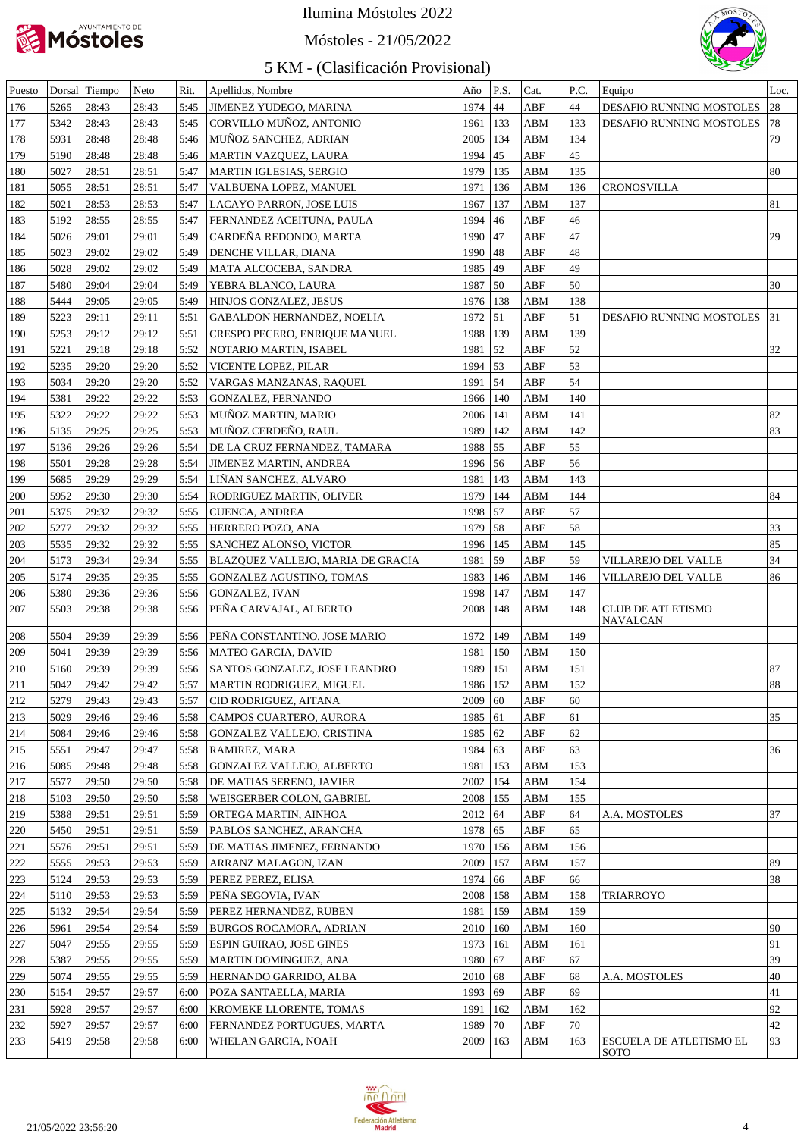

Móstoles - 21/05/2022



| Puesto  |      | Dorsal Tiempo | Neto  | Rit. | Apellidos, Nombre                 | Año          | P.S.                | Cat.        | P.C. | Equipo                                      | Loc.   |
|---------|------|---------------|-------|------|-----------------------------------|--------------|---------------------|-------------|------|---------------------------------------------|--------|
| 176     | 5265 | 28:43         | 28:43 | 5:45 | JIMENEZ YUDEGO, MARINA            | 1974         | 44                  | ABF         | 44   | DESAFIO RUNNING MOSTOLES                    | 28     |
| 177     | 5342 | 28:43         | 28:43 | 5:45 | CORVILLO MUÑOZ, ANTONIO           | 1961   133   |                     | ABM         | 133  | DESAFIO RUNNING MOSTOLES                    | 78     |
| 178     | 5931 | 28:48         | 28:48 | 5:46 | MUNOZ SANCHEZ, ADRIAN             | 2005   134   |                     | ABM         | 134  |                                             | 79     |
| 179     | 5190 | 28:48         | 28:48 | 5:46 | MARTIN VAZQUEZ, LAURA             | 1994 45      |                     | ABF         | 45   |                                             |        |
| 180     | 5027 | 28:51         | 28:51 | 5:47 | <b>MARTIN IGLESIAS, SERGIO</b>    | 1979         | 135                 | ABM         | 135  |                                             | 80     |
| 181     | 5055 | 28:51         | 28:51 | 5:47 | VALBUENA LOPEZ, MANUEL            | 1971         | 136                 | ABM         | 136  | <b>CRONOSVILLA</b>                          |        |
| 182     | 5021 | 28:53         | 28:53 | 5:47 | LACAYO PARRON, JOSE LUIS          | 1967         | 137                 | ABM         | 137  |                                             | 81     |
| 183     | 5192 | 28:55         | 28:55 | 5:47 | FERNANDEZ ACEITUNA, PAULA         | 1994         | 46                  | ABF         | 46   |                                             |        |
| 184     | 5026 | 29:01         | 29:01 | 5:49 | CARDEÑA REDONDO, MARTA            | 1990 47      |                     | ABF         | 47   |                                             | 29     |
| 185     | 5023 | 29:02         | 29:02 | 5:49 | DENCHE VILLAR, DIANA              | 1990 48      |                     | ABF         | 48   |                                             |        |
| 186     | 5028 | 29:02         | 29:02 | 5:49 | MATA ALCOCEBA, SANDRA             | 1985 49      |                     | ABF         | 49   |                                             |        |
| 187     | 5480 | 29:04         | 29:04 | 5:49 | YEBRA BLANCO, LAURA               | 1987         | $\frac{150}{2}$     | ABF         | 50   |                                             | 30     |
|         |      |               |       |      |                                   |              |                     |             |      |                                             |        |
| 188     | 5444 | 29:05         | 29:05 | 5:49 | HINJOS GONZALEZ, JESUS            | 1976   138   |                     | ABM         | 138  |                                             |        |
| 189     | 5223 | 29:11         | 29:11 | 5:51 | <b>GABALDON HERNANDEZ, NOELIA</b> | 1972         | $\vert$ 51          | ABF         | 51   | DESAFIO RUNNING MOSTOLES                    | 31     |
| 190     | 5253 | 29:12         | 29:12 | 5:51 | CRESPO PECERO, ENRIQUE MANUEL     | 1988   139   |                     | ABM         | 139  |                                             |        |
| 191     | 5221 | 29:18         | 29:18 | 5:52 | NOTARIO MARTIN, ISABEL            | 1981         | $\vert$ 52          | ABF         | 52   |                                             | 32     |
| 192     | 5235 | 29:20         | 29:20 | 5:52 | VICENTE LOPEZ, PILAR              | 1994 53      |                     | ABF         | 53   |                                             |        |
| 193     | 5034 | 29:20         | 29:20 | 5:52 | VARGAS MANZANAS, RAQUEL           | 1991 54      |                     | ABF         | 54   |                                             |        |
| 194     | 5381 | 29:22         | 29:22 | 5:53 | GONZALEZ, FERNANDO                | 1966 140     |                     | ABM         | 140  |                                             |        |
| 195     | 5322 | 29:22         | 29:22 | 5:53 | MUNOZ MARTIN, MARIO               | $2006$   141 |                     | ABM         | 141  |                                             | 82     |
| 196     | 5135 | 29:25         | 29:25 | 5:53 | MUÑOZ CERDEÑO, RAUL               | 1989         | 142                 | ABM         | 142  |                                             | 83     |
| 197     | 5136 | 29:26         | 29:26 | 5:54 | DE LA CRUZ FERNANDEZ, TAMARA      | 1988         | $\frac{55}{5}$      | ABF         | 55   |                                             |        |
| 198     | 5501 | 29:28         | 29:28 | 5:54 | JIMENEZ MARTIN, ANDREA            | 1996 56      |                     | ABF         | 56   |                                             |        |
| 199     | 5685 | 29:29         | 29:29 | 5:54 | LINAN SANCHEZ, ALVARO             | 1981         | 143                 | ABM         | 143  |                                             |        |
| 200     | 5952 | 29:30         | 29:30 | 5:54 | RODRIGUEZ MARTIN, OLIVER          | 1979         | 144                 | ABM         | 144  |                                             | 84     |
| 201     | 5375 | 29:32         | 29:32 | 5:55 | CUENCA, ANDREA                    | 1998         | $\frac{157}{2}$     | ABF         | 57   |                                             |        |
| 202     | 5277 | 29:32         | 29:32 | 5:55 | HERRERO POZO, ANA                 | 1979         | 58                  | ABF         | 58   |                                             | 33     |
| 203     | 5535 | 29:32         | 29:32 | 5:55 | SANCHEZ ALONSO, VICTOR            | 1996   145   |                     | ABM         | 145  |                                             | 85     |
| 204     | 5173 | 29:34         | 29:34 | 5:55 | BLAZQUEZ VALLEJO, MARIA DE GRACIA | 1981         | $\frac{159}{2}$     | ABF         | 59   | VILLAREJO DEL VALLE                         | 34     |
|         |      |               |       |      |                                   |              |                     |             |      |                                             |        |
| 205     | 5174 | 29:35         | 29:35 | 5:55 | <b>GONZALEZ AGUSTINO, TOMAS</b>   | 1983   146   |                     | ABM         | 146  | VILLAREJO DEL VALLE                         | 86     |
| 206     | 5380 | 29:36         | 29:36 | 5:56 | <b>GONZALEZ, IVAN</b>             | 1998         | 147                 | ABM         | 147  |                                             |        |
| 207     | 5503 | 29:38         | 29:38 | 5:56 | PEÑA CARVAJAL, ALBERTO            | 2008         | 148                 | ABM         | 148  | <b>CLUB DE ATLETISMO</b><br><b>NAVALCAN</b> |        |
| 208     | 5504 | 29:39         | 29:39 | 5:56 | PEÑA CONSTANTINO, JOSE MARIO      | 1972         | 149                 | ABM         | 149  |                                             |        |
| 209     | 5041 | 29:39         | 29:39 | 5:56 | <b>MATEO GARCIA, DAVID</b>        | 1981         | 150                 | ABM         | 150  |                                             |        |
| 210     | 5160 | 29:39         | 29:39 | 5:56 | SANTOS GONZALEZ, JOSE LEANDRO     | 1989         | 151                 | ABM         | 151  |                                             | 87     |
|         |      |               |       |      |                                   |              |                     |             |      |                                             | $88\,$ |
| 211     | 5042 | 29:42         | 29:42 | 5:57 | MARTIN RODRIGUEZ, MIGUEL          | 1986 152     |                     | ${\bf ABM}$ | 152  |                                             |        |
| 212     | 5279 | 29:43         | 29:43 | 5:57 | CID RODRIGUEZ, AITANA             | 2009         | 60                  | ABF         | 60   |                                             |        |
| 213     | 5029 | 29:46         | 29:46 | 5:58 | CAMPOS CUARTERO, AURORA           | $1985$ 61    |                     | ABF         | 61   |                                             | 35     |
| 214     | 5084 | 29:46         | 29:46 | 5:58 | GONZALEZ VALLEJO, CRISTINA        | 1985         | $\left  62 \right $ | ABF         | 62   |                                             |        |
| 215     | 5551 | 29:47         | 29:47 | 5:58 | RAMIREZ, MARA                     | 1984         | 63                  | ABF         | 63   |                                             | 36     |
| 216     | 5085 | 29:48         | 29:48 | 5:58 | <b>GONZALEZ VALLEJO, ALBERTO</b>  | 1981         | 153                 | ABM         | 153  |                                             |        |
| 217     | 5577 | 29:50         | 29:50 | 5:58 | DE MATIAS SERENO, JAVIER          | 2002         | 154                 | ABM         | 154  |                                             |        |
| 218     | 5103 | 29:50         | 29:50 | 5:58 | WEISGERBER COLON, GABRIEL         | 2008         | 155                 | ${\bf ABM}$ | 155  |                                             |        |
| 219     | 5388 | 29:51         | 29:51 | 5:59 | ORTEGA MARTIN, AINHOA             | 2012         | 64                  | ABF         | 64   | A.A. MOSTOLES                               | 37     |
| 220     | 5450 | 29:51         | 29:51 | 5:59 | PABLOS SANCHEZ, ARANCHA           | 1978         | 65                  | ABF         | 65   |                                             |        |
| 221     | 5576 | 29:51         | 29:51 | 5:59 | DE MATIAS JIMENEZ, FERNANDO       | 1970         | 156                 | ABM         | 156  |                                             |        |
| 222     | 5555 | 29:53         | 29:53 | 5:59 | ARRANZ MALAGON, IZAN              | 2009         | 157                 | ABM         | 157  |                                             | 89     |
| 223     | 5124 | 29:53         | 29:53 | 5:59 | PEREZ PEREZ, ELISA                | 1974         | 66                  | ABF         | 66   |                                             | 38     |
| 224     | 5110 | 29:53         | 29:53 | 5:59 | PEÑA SEGOVIA, IVAN                | 2008         | 158                 | ABM         | 158  | TRIARROYO                                   |        |
| $225\,$ | 5132 | 29:54         | 29:54 | 5:59 | PEREZ HERNANDEZ, RUBEN            | 1981         | 159                 | ABM         | 159  |                                             |        |
| 226     | 5961 | 29:54         | 29:54 | 5:59 | BURGOS ROCAMORA, ADRIAN           | 2010         | 160                 | ABM         | 160  |                                             | 90     |
|         |      |               |       |      |                                   |              |                     |             |      |                                             | 91     |
| 227     | 5047 | 29:55         | 29:55 | 5:59 | ESPIN GUIRAO, JOSE GINES          | 1973         | 161                 | ABM         | 161  |                                             |        |
| 228     | 5387 | 29:55         | 29:55 | 5:59 | MARTIN DOMINGUEZ, ANA             | 1980         | 67                  | ABF         | 67   |                                             | 39     |
| 229     | 5074 | 29:55         | 29:55 | 5:59 | HERNANDO GARRIDO, ALBA            | 2010         | 68                  | ABF         | 68   | A.A. MOSTOLES                               | 40     |
| 230     | 5154 | 29:57         | 29:57 | 6:00 | POZA SANTAELLA, MARIA             | 1993         | 69                  | ABF         | 69   |                                             | 41     |
| 231     | 5928 | 29:57         | 29:57 | 6:00 | KROMEKE LLORENTE, TOMAS           | 1991         | 162                 | ABM         | 162  |                                             | 92     |
| 232     | 5927 | 29:57         | 29:57 | 6:00 | FERNANDEZ PORTUGUES, MARTA        | 1989         | 70                  | ABF         | 70   |                                             | 42     |
| 233     | 5419 | 29:58         | 29:58 | 6:00 | WHELAN GARCIA, NOAH               | 2009         | 163                 | ABM         | 163  | ESCUELA DE ATLETISMO EL                     | 93     |
|         |      |               |       |      |                                   |              |                     |             |      | SOTO                                        |        |

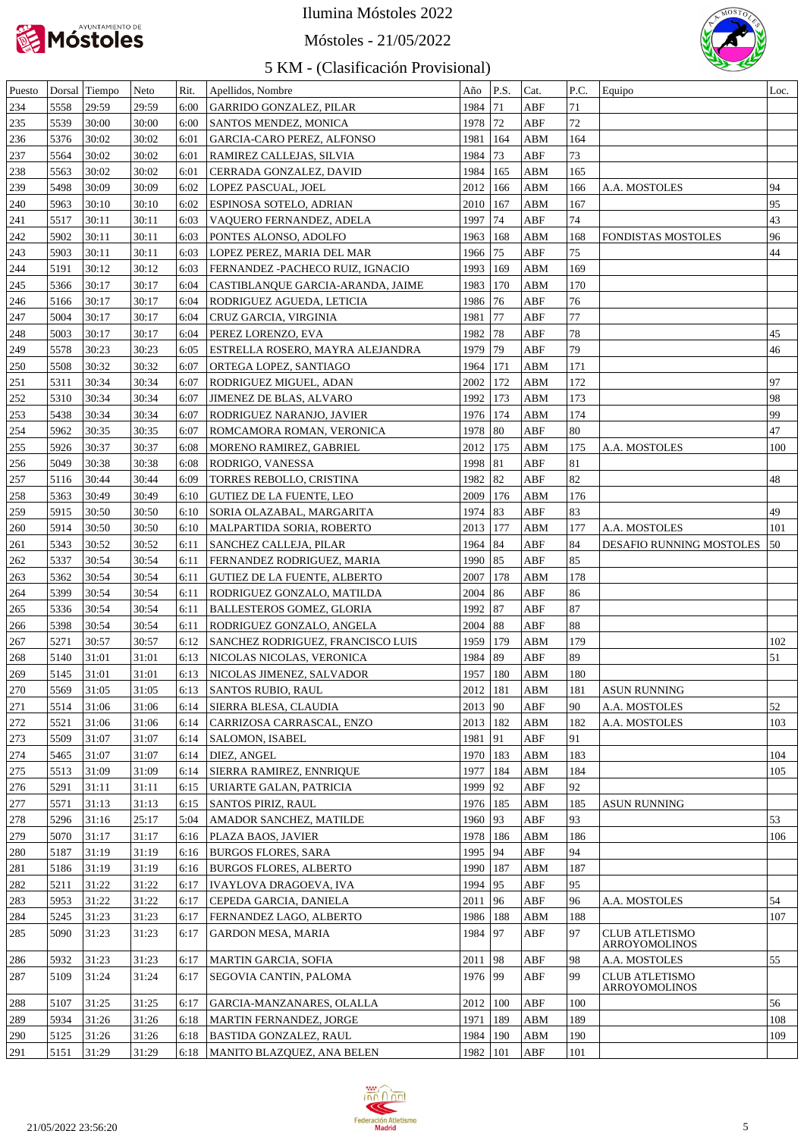

#### Móstoles - 21/05/2022



| Puesto     |      | Dorsal Tiempo | Neto  | Rit.         | Apellidos, Nombre                                | Año          | P.S. | Cat.                    | P.C.   | Equipo                   | Loc. |
|------------|------|---------------|-------|--------------|--------------------------------------------------|--------------|------|-------------------------|--------|--------------------------|------|
| 234        | 5558 | 29:59         | 29:59 | 6:00         | GARRIDO GONZALEZ, PILAR                          | 1984 71      |      | ABF                     | 71     |                          |      |
| 235        | 5539 | 30:00         | 30:00 | 6:00         | <b>SANTOS MENDEZ, MONICA</b>                     | 1978 72      |      | ${\sf ABF}$             | $72\,$ |                          |      |
| 236        | 5376 | 30:02         | 30:02 | 6:01         | GARCIA-CARO PEREZ, ALFONSO                       | 1981   164   |      | ${\bf A}{\bf B}{\bf M}$ | 164    |                          |      |
| 237        | 5564 | 30:02         | 30:02 | 6:01         | RAMIREZ CALLEJAS, SILVIA                         | 1984 73      |      | ${\sf ABF}$             | 73     |                          |      |
| 238        | 5563 | 30:02         | 30:02 | 6:01         | CERRADA GONZALEZ, DAVID                          | 1984   165   |      | ${\bf A}{\bf B}{\bf M}$ | 165    |                          |      |
| 239        | 5498 | 30:09         | 30:09 | 6:02         | LOPEZ PASCUAL, JOEL                              | 2012   166   |      | ${\bf A}{\bf B}{\bf M}$ | 166    | A.A. MOSTOLES            | 94   |
| 240        | 5963 | 30:10         | 30:10 | 6:02         | <b>ESPINOSA SOTELO, ADRIAN</b>                   | 2010   167   |      | ${\bf A}{\bf B}{\bf M}$ | 167    |                          | 95   |
| 241        | 5517 | 30:11         | 30:11 | 6:03         | VAQUERO FERNANDEZ, ADELA                         | 1997 74      |      | ${\rm ABF}$             | $74\,$ |                          | 43   |
| 242        | 5902 | 30:11         | 30:11 | 6:03         | PONTES ALONSO, ADOLFO                            | 1963   168   |      | ABM                     | 168    | FONDISTAS MOSTOLES       | 96   |
| 243        | 5903 | 30:11         | 30:11 | 6:03         | LOPEZ PEREZ, MARIA DEL MAR                       | 1966 75      |      | ${\rm ABF}$             | 75     |                          | 44   |
| 244        | 5191 | 30:12         | 30:12 | 6:03         | FERNANDEZ - PACHECO RUIZ, IGNACIO                | 1993   169   |      | ${\bf A}{\bf B}{\bf M}$ | 169    |                          |      |
| 245        | 5366 | 30:17         | 30:17 | 6:04         | CASTIBLANQUE GARCIA-ARANDA, JAIME                | 1983   170   |      | ${\bf A}{\bf B}{\bf M}$ | 170    |                          |      |
| 246        | 5166 | 30:17         | 30:17 | 6:04         | RODRIGUEZ AGUEDA, LETICIA                        | 1986 76      |      | ${\sf ABF}$             | 76     |                          |      |
| 247        | 5004 | 30:17         | 30:17 | 6:04         | CRUZ GARCIA, VIRGINIA                            | 1981         | 77   | ${\sf ABF}$             | 77     |                          |      |
| 248        | 5003 | 30:17         | 30:17 | 6:04         | PEREZ LORENZO, EVA                               | 1982 78      |      | ${\sf ABF}$             | $78\,$ |                          | 45   |
| 249        | 5578 | 30:23         | 30:23 | 6:05         | ESTRELLA ROSERO, MAYRA ALEJANDRA                 | 1979 79      |      | ${\sf ABF}$             | 79     |                          | 46   |
| 250        | 5508 | 30:32         | 30:32 | 6:07         | ORTEGA LOPEZ, SANTIAGO                           | 1964   171   |      | ${\bf A}{\bf B}{\bf M}$ | 171    |                          |      |
| 251        | 5311 | 30:34         | 30:34 | 6:07         | <b>RODRIGUEZ MIGUEL, ADAN</b>                    | 2002   172   |      | ${\bf ABM}$             | 172    |                          | 97   |
| 252        | 5310 | 30:34         | 30:34 | 6:07         | <b>JIMENEZ DE BLAS, ALVARO</b>                   | 1992 173     |      | ${\bf ABM}$             | 173    |                          | 98   |
| 253        | 5438 | 30:34         | 30:34 | 6:07         | <b>RODRIGUEZ NARANJO, JAVIER</b>                 | 1976   174   |      | ${\bf ABM}$             | 174    |                          | 99   |
| 254        | 5962 | 30:35         | 30:35 | 6:07         | ROMCAMORA ROMAN, VERONICA                        | 1978   80    |      | ${\rm ABF}$             | 80     |                          | 47   |
| 255        | 5926 | 30:37         | 30:37 | 6:08         | MORENO RAMIREZ, GABRIEL                          | 2012   175   |      | ABM                     | 175    | A.A. MOSTOLES            | 100  |
| 256        | 5049 | 30:38         | 30:38 | 6:08         | <b>RODRIGO, VANESSA</b>                          | 1998   81    |      | ${\sf ABF}$             | 81     |                          |      |
| 257        | 5116 | 30:44         | 30:44 | 6:09         | <b>TORRES REBOLLO, CRISTINA</b>                  | 1982 82      |      | ${\sf ABF}$             | 82     |                          | 48   |
| 258        | 5363 | 30:49         | 30:49 | 6:10         | <b>GUTIEZ DE LA FUENTE, LEO</b>                  | 2009   176   |      | ${\bf ABM}$             | 176    |                          |      |
| 259        | 5915 | 30:50         | 30:50 | 6:10         | SORIA OLAZABAL, MARGARITA                        | 1974 83      |      | ${\sf ABF}$             | 83     |                          | 49   |
| 260        | 5914 | 30:50         | 30:50 | 6:10         | MALPARTIDA SORIA, ROBERTO                        | 2013   177   |      | ${\bf ABM}$             | 177    | A.A. MOSTOLES            | 101  |
| 261        | 5343 | 30:52         | 30:52 | 6:11         | <b>SANCHEZ CALLEJA, PILAR</b>                    | 1964   84    |      | ${\sf ABF}$             | 84     | DESAFIO RUNNING MOSTOLES | 50   |
| 262        | 5337 | 30:54         | 30:54 | 6:11         | <b>FERNANDEZ RODRIGUEZ, MARIA</b>                | 1990 85      |      | ${\sf ABF}$             | 85     |                          |      |
| 263        | 5362 | 30:54         | 30:54 | 6:11         | GUTIEZ DE LA FUENTE, ALBERTO                     | 2007   178   |      | ${\bf ABM}$             | 178    |                          |      |
| 264        | 5399 | 30:54         | 30:54 | 6:11         | RODRIGUEZ GONZALO, MATILDA                       | $2004$ 86    |      | ${\sf ABF}$             | 86     |                          |      |
| 265        | 5336 | 30:54         | 30:54 | 6:11         | <b>BALLESTEROS GOMEZ, GLORIA</b>                 | 1992 87      |      | ${\sf ABF}$             | 87     |                          |      |
| 266        | 5398 | 30:54         | 30:54 | 6:11         | RODRIGUEZ GONZALO, ANGELA                        | $2004$ 88    |      | ${\sf ABF}$             | 88     |                          |      |
| 267        | 5271 | 30:57         | 30:57 |              | 6:12 SANCHEZ RODRIGUEZ, FRANCISCO LUIS           | 1959   179   |      | ABM                     | 179    |                          | 102  |
| 268        | 5140 | 31:01         | 31:01 |              | 6:13 NICOLAS NICOLAS, VERONICA                   | 1984 89      |      | ${\rm ABF}$             | 89     |                          | 51   |
| 269        | 5145 | 31:01         | 31:01 |              | 6:13 NICOLAS JIMENEZ, SALVADOR                   | 1957   180   |      | ABM                     | 180    |                          |      |
| 270        | 5569 | 31:05         | 31:05 |              | $6:13$ SANTOS RUBIO, RAUL                        | $2012$   181 |      | ABM                     | 181    | <b>ASUN RUNNING</b>      |      |
| 271        | 5514 | 31:06         | 31:06 | 6:14         | SIERRA BLESA, CLAUDIA                            | $2013$ 90    |      | ABF                     | 90     | A.A. MOSTOLES            | 52   |
| 272        | 5521 | 31:06         | 31:06 | 6:14         | CARRIZOSA CARRASCAL, ENZO                        | 2013   182   |      | ABM                     | 182    | A.A. MOSTOLES            | 103  |
| 273        | 5509 | 31:07         | 31:07 | 6:14         | <b>SALOMON, ISABEL</b>                           | 1981 91      |      | ${\sf ABF}$             | 91     |                          |      |
| 274        | 5465 | 31:07         | 31:07 | 6:14         | DIEZ, ANGEL                                      | 1970   183   |      | ABM                     | 183    |                          | 104  |
| 275        | 5513 | 31:09         | 31:09 | 6:14         | SIERRA RAMIREZ, ENNRIQUE                         | 1977   184   |      | ABM                     | 184    |                          | 105  |
| 276        | 5291 | 31:11         | 31:11 | 6:15         | URIARTE GALAN, PATRICIA                          | 1999 92      |      | ABF                     | 92     |                          |      |
| 277        | 5571 | 31:13         | 31:13 | 6:15         | <b>SANTOS PIRIZ, RAUL</b>                        | 1976   185   |      | ABM                     | 185    | <b>ASUN RUNNING</b>      |      |
| 278        | 5296 | 31:16         | 25:17 | 5:04         | AMADOR SANCHEZ, MATILDE                          | 1960   93    |      | ABF                     | 93     |                          | 53   |
| 279        | 5070 | 31:17         | 31:17 | 6:16         | PLAZA BAOS, JAVIER                               | 1978   186   |      | ABM                     | 186    |                          | 106  |
| 280        | 5187 | 31:19         | 31:19 | 6:16         | <b>BURGOS FLORES, SARA</b>                       | 1995 94      |      | ABF                     | 94     |                          |      |
| 281        | 5186 | 31:19         | 31:19 | 6:16         | <b>BURGOS FLORES, ALBERTO</b>                    | 1990   187   |      | ABM                     | 187    |                          |      |
| 282        | 5211 | 31:22         | 31:22 |              |                                                  | 1994   95    |      | ABF                     | 95     |                          |      |
|            | 5953 | 31:22         | 31:22 | 6:17<br>6:17 | IVAYLOVA DRAGOEVA, IVA<br>CEPEDA GARCIA, DANIELA | $2011$  96   |      | ABF                     | 96     |                          | 54   |
| 283        | 5245 | 31:23         | 31:23 |              | FERNANDEZ LAGO, ALBERTO                          | 1986   188   |      | ABM                     | 188    | A.A. MOSTOLES            | 107  |
| 284<br>285 | 5090 | 31:23         | 31:23 | 6:17<br>6:17 | <b>GARDON MESA, MARIA</b>                        | 1984 97      |      | ABF                     | 97     | <b>CLUB ATLETISMO</b>    |      |
|            |      |               |       |              |                                                  |              |      |                         |        | ARROYOMOLINOS            |      |
| 286        | 5932 | 31:23         | 31:23 | 6:17         | <b>MARTIN GARCIA, SOFIA</b>                      | $2011$  98   |      | ABF                     | 98     | A.A. MOSTOLES            | 55   |
| 287        | 5109 | 31:24         | 31:24 | 6:17         | SEGOVIA CANTIN, PALOMA                           | 1976 99      |      | ABF                     | 99     | <b>CLUB ATLETISMO</b>    |      |
|            |      |               |       |              |                                                  |              |      |                         |        | ARROYOMOLINOS            |      |
| 288        | 5107 | 31:25         | 31:25 | 6:17         | GARCIA-MANZANARES, OLALLA                        | 2012         | 100  | ABF                     | 100    |                          | 56   |
| 289        | 5934 | 31:26         | 31:26 | 6:18         | MARTIN FERNANDEZ, JORGE                          | 1971         | 189  | ABM                     | 189    |                          | 108  |
| 290        | 5125 | 31:26         | 31:26 | 6:18         | BASTIDA GONZALEZ, RAUL                           | 1984         | 190  | ABM                     | 190    |                          | 109  |
| 291        | 5151 | 31:29         | 31:29 | 6:18         | MANITO BLAZQUEZ, ANA BELEN                       | 1982   101   |      | ABF                     | 101    |                          |      |

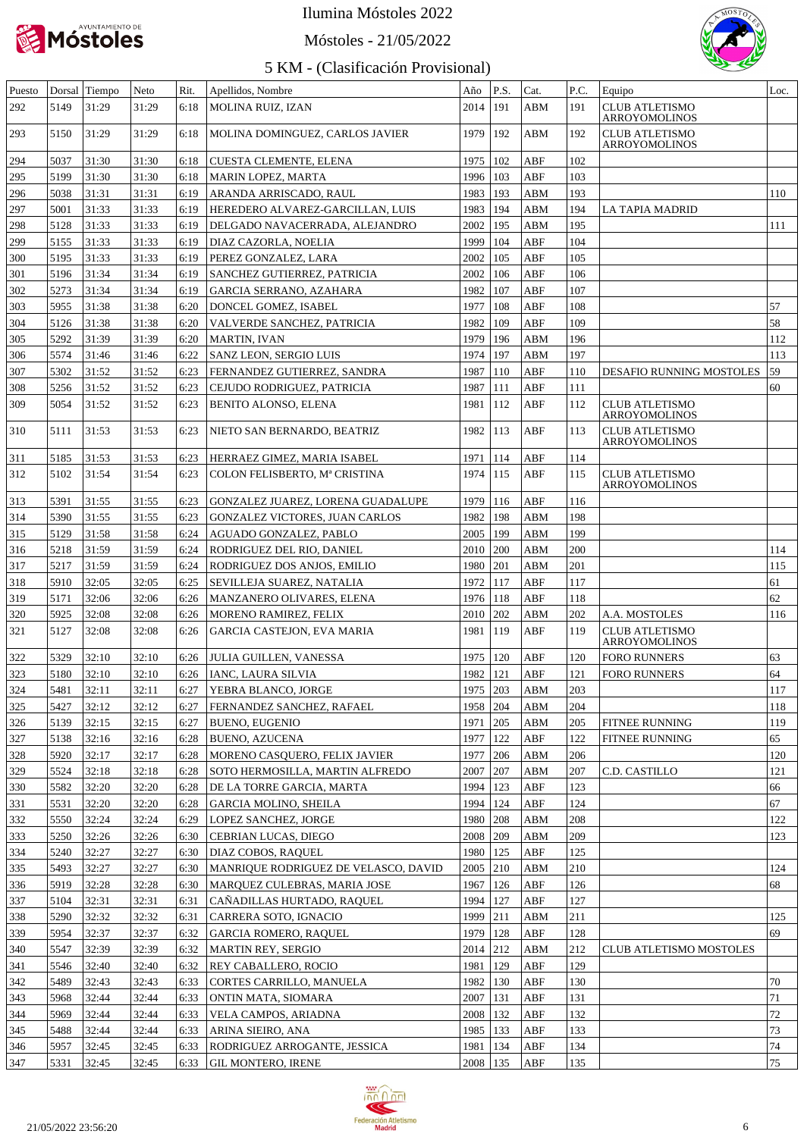

#### Móstoles - 21/05/2022



| Puesto |      | Dorsal Tiempo | Neto  | Rit. | Apellidos, Nombre                    | Año        | P.S. | Cat.                    | P.C. | Equipo                                 | Loc.   |
|--------|------|---------------|-------|------|--------------------------------------|------------|------|-------------------------|------|----------------------------------------|--------|
| 292    | 5149 | 31:29         | 31:29 | 6:18 | MOLINA RUIZ, IZAN                    | 2014       | 191  | ABM                     | 191  | <b>CLUB ATLETISMO</b><br>ARROYOMOLINOS |        |
| 293    | 5150 | 31:29         | 31:29 | 6:18 | MOLINA DOMINGUEZ, CARLOS JAVIER      | 1979       | 192  | ABM                     | 192  | <b>CLUB ATLETISMO</b><br>ARROYOMOLINOS |        |
| 294    | 5037 | 31:30         | 31:30 | 6:18 | <b>CUESTA CLEMENTE, ELENA</b>        | 1975       | 102  | ABF                     | 102  |                                        |        |
| 295    | 5199 | 31:30         | 31:30 | 6:18 | <b>MARIN LOPEZ, MARTA</b>            | 1996       | 103  | ABF                     | 103  |                                        |        |
| 296    | 5038 | 31:31         | 31:31 | 6:19 | ARANDA ARRISCADO, RAUL               | 1983       | 193  | ABM                     | 193  |                                        | 110    |
| 297    | 5001 | 31:33         | 31:33 | 6:19 | HEREDERO ALVAREZ-GARCILLAN, LUIS     | 1983       | 194  | ABM                     | 194  | LA TAPIA MADRID                        |        |
| 298    | 5128 | 31:33         | 31:33 | 6:19 | DELGADO NAVACERRADA, ALEJANDRO       | 2002       | 195  | ABM                     | 195  |                                        | 111    |
| 299    | 5155 | 31:33         | 31:33 | 6:19 | DIAZ CAZORLA, NOELIA                 | 1999       | 104  | ABF                     | 104  |                                        |        |
| 300    | 5195 | 31:33         | 31:33 | 6:19 | PEREZ GONZALEZ, LARA                 | 2002       | 105  | ABF                     | 105  |                                        |        |
| 301    | 5196 | 31:34         | 31:34 | 6:19 | SANCHEZ GUTIERREZ, PATRICIA          | 2002       | 106  | ABF                     | 106  |                                        |        |
| 302    | 5273 | 31:34         | 31:34 | 6:19 | <b>GARCIA SERRANO, AZAHARA</b>       | 1982       | 107  | ABF                     | 107  |                                        |        |
| 303    | 5955 | 31:38         | 31:38 | 6:20 | DONCEL GOMEZ, ISABEL                 | 1977       | 108  | ABF                     | 108  |                                        | 57     |
| 304    | 5126 | 31:38         | 31:38 | 6:20 | VALVERDE SANCHEZ, PATRICIA           | 1982       | 109  | ABF                     | 109  |                                        | 58     |
| 305    | 5292 | 31:39         | 31:39 | 6:20 | MARTIN, IVAN                         | 1979       | 196  | ABM                     | 196  |                                        | 112    |
| 306    | 5574 | 31:46         | 31:46 | 6:22 | SANZ LEON, SERGIO LUIS               | 1974       | 197  | <b>ABM</b>              | 197  |                                        | 113    |
| 307    | 5302 | 31:52         | 31:52 | 6:23 | FERNANDEZ GUTIERREZ, SANDRA          | 1987       | 110  | ABF                     | 110  | DESAFIO RUNNING MOSTOLES               | 59     |
| 308    | 5256 | 31:52         | 31:52 | 6:23 | CEJUDO RODRIGUEZ, PATRICIA           | 1987       | 111  | ABF                     | 111  |                                        | 60     |
| 309    | 5054 | 31:52         | 31:52 | 6:23 | BENITO ALONSO, ELENA                 | 1981       | 112  | ABF                     | 112  | <b>CLUB ATLETISMO</b>                  |        |
|        |      |               |       |      |                                      |            |      |                         |      | ARROYOMOLINOS                          |        |
| 310    | 5111 | 31:53         | 31:53 | 6:23 | NIETO SAN BERNARDO, BEATRIZ          | 1982       | 113  | ABF                     | 113  | <b>CLUB ATLETISMO</b><br>ARROYOMOLINOS |        |
| 311    | 5185 | 31:53         | 31:53 | 6:23 | HERRAEZ GIMEZ, MARIA ISABEL          | 1971       | 114  | ABF                     | 114  |                                        |        |
| 312    | 5102 | 31:54         | 31:54 | 6:23 | COLON FELISBERTO, Mª CRISTINA        | 1974       | 115  | ABF                     | 115  | <b>CLUB ATLETISMO</b><br>ARROYOMOLINOS |        |
| 313    | 5391 | 31:55         | 31:55 | 6:23 | GONZALEZ JUAREZ, LORENA GUADALUPE    | 1979       | 116  | ABF                     | 116  |                                        |        |
| 314    | 5390 | 31:55         | 31:55 | 6:23 | GONZALEZ VICTORES, JUAN CARLOS       | 1982       | 198  | ABM                     | 198  |                                        |        |
| 315    | 5129 | 31:58         | 31:58 | 6:24 | AGUADO GONZALEZ, PABLO               | 2005       | 199  | ABM                     | 199  |                                        |        |
| 316    | 5218 | 31:59         | 31:59 | 6:24 | RODRIGUEZ DEL RIO, DANIEL            | 2010       | 200  | ${\bf A}{\bf B}{\bf M}$ | 200  |                                        | 114    |
| 317    | 5217 | 31:59         | 31:59 | 6:24 | RODRIGUEZ DOS ANJOS, EMILIO          | 1980       | 201  | ${\bf ABM}$             | 201  |                                        | 115    |
| 318    | 5910 | 32:05         | 32:05 | 6:25 | SEVILLEJA SUAREZ, NATALIA            | 1972       | 117  | ABF                     | 117  |                                        | 61     |
| 319    | 5171 | 32:06         | 32:06 | 6:26 | MANZANERO OLIVARES, ELENA            | 1976       | 118  | ABF                     | 118  |                                        | 62     |
| 320    | 5925 | 32:08         | 32:08 | 6:26 | MORENO RAMIREZ, FELIX                | 2010       | 202  | <b>ABM</b>              | 202  | A.A. MOSTOLES                          | 116    |
| 321    | 5127 | 32:08         | 32:08 | 6:26 | <b>GARCIA CASTEJON, EVA MARIA</b>    | 1981       | 119  | ABF                     | 119  | <b>CLUB ATLETISMO</b><br>ARROYOMOLINOS |        |
| 322    | 5329 | 32:10         | 32:10 |      | 6:26 JULIA GUILLEN, VANESSA          | 1975   120 |      | ABF                     | 120  | <b>FORO RUNNERS</b>                    | 63     |
| 323    | 5180 | 32:10         | 32:10 |      | 6:26   IANC, LAURA SILVIA            | 1982   121 |      | <b>ABF</b>              | 121  | <b>FORO RUNNERS</b>                    | 64     |
| 324    | 5481 | 32:11         | 32:11 |      | 6:27 YEBRA BLANCO, JORGE             | 1975 203   |      | ABM                     | 203  |                                        | 117    |
| 325    | 5427 | 32:12         | 32:12 | 6:27 | FERNANDEZ SANCHEZ, RAFAEL            | 1958 204   |      | ABM                     | 204  |                                        | 118    |
| 326    | 5139 | 32:15         | 32:15 | 6:27 | BUENO, EUGENIO                       | 1971 205   |      | ABM                     | 205  | FITNEE RUNNING                         | 119    |
| 327    | 5138 | 32:16         | 32:16 | 6:28 | BUENO, AZUCENA                       | 1977   122 |      | ${\rm ABF}$             | 122  | FITNEE RUNNING                         | 65     |
| 328    | 5920 | 32:17         | 32:17 | 6:28 | MORENO CASQUERO, FELIX JAVIER        | 1977 206   |      | ${\bf ABM}$             | 206  |                                        | 120    |
| 329    | 5524 | 32:18         | 32:18 | 6:28 | SOTO HERMOSILLA, MARTIN ALFREDO      | 2007 207   |      | ABM                     | 207  | C.D. CASTILLO                          | 121    |
| 330    | 5582 | 32:20         | 32:20 | 6:28 | DE LA TORRE GARCIA, MARTA            | 1994   123 |      | ${\rm ABF}$             | 123  |                                        | 66     |
| 331    | 5531 | 32:20         | 32:20 | 6:28 | GARCIA MOLINO, SHEILA                | 1994   124 |      | ${\rm ABF}$             | 124  |                                        | 67     |
| 332    | 5550 | 32:24         | 32:24 | 6:29 | LOPEZ SANCHEZ, JORGE                 | 1980 208   |      | ABM                     | 208  |                                        | 122    |
| 333    | 5250 | 32:26         | 32:26 | 6:30 | CEBRIAN LUCAS, DIEGO                 | 2008 209   |      | ABM                     | 209  |                                        | 123    |
| 334    | 5240 | 32:27         | 32:27 | 6:30 | DIAZ COBOS, RAQUEL                   | 1980   125 |      | ABF                     | 125  |                                        |        |
| 335    | 5493 | 32:27         | 32:27 | 6:30 | MANRIQUE RODRIGUEZ DE VELASCO, DAVID | $2005$ 210 |      | ABM                     | 210  |                                        | 124    |
| 336    | 5919 | 32:28         | 32:28 | 6:30 | MARQUEZ CULEBRAS, MARIA JOSE         | 1967   126 |      | ABF                     | 126  |                                        | 68     |
| 337    | 5104 | 32:31         | 32:31 | 6:31 | CAÑADILLAS HURTADO, RAQUEL           | 1994   127 |      | ABF                     | 127  |                                        |        |
| 338    | 5290 | 32:32         | 32:32 | 6:31 | CARRERA SOTO, IGNACIO                | 1999 211   |      | ABM                     | 211  |                                        | 125    |
| 339    | 5954 | 32:37         | 32:37 | 6:32 | <b>GARCIA ROMERO, RAQUEL</b>         | 1979   128 |      | ABF                     | 128  |                                        | 69     |
| 340    | 5547 | 32:39         | 32:39 | 6:32 | MARTIN REY, SERGIO                   | 2014 212   |      | ABM                     | 212  | CLUB ATLETISMO MOSTOLES                |        |
| 341    | 5546 | 32:40         | 32:40 | 6:32 | REY CABALLERO, ROCIO                 | 1981   129 |      | ABF                     | 129  |                                        |        |
| 342    | 5489 | 32:43         | 32:43 | 6:33 | CORTES CARRILLO, MANUELA             | 1982   130 |      | ABF                     | 130  |                                        | 70     |
| 343    | 5968 | 32:44         | 32:44 | 6:33 | ONTIN MATA, SIOMARA                  | 2007   131 |      | ABF                     | 131  |                                        | $71\,$ |
| 344    | 5969 | 32:44         | 32:44 | 6:33 | VELA CAMPOS, ARIADNA                 | 2008   132 |      | ABF                     | 132  |                                        | $72\,$ |
| 345    | 5488 | 32:44         | 32:44 | 6:33 | ARINA SIEIRO, ANA                    | 1985   133 |      | ABF                     | 133  |                                        | 73     |
| 346    | 5957 | 32:45         | 32:45 | 6:33 | RODRIGUEZ ARROGANTE, JESSICA         | 1981   134 |      | ABF                     | 134  |                                        | $74\,$ |
| 347    | 5331 | 32:45         | 32:45 | 6:33 | <b>GIL MONTERO, IRENE</b>            | 2008   135 |      | ABF                     | 135  |                                        | 75     |

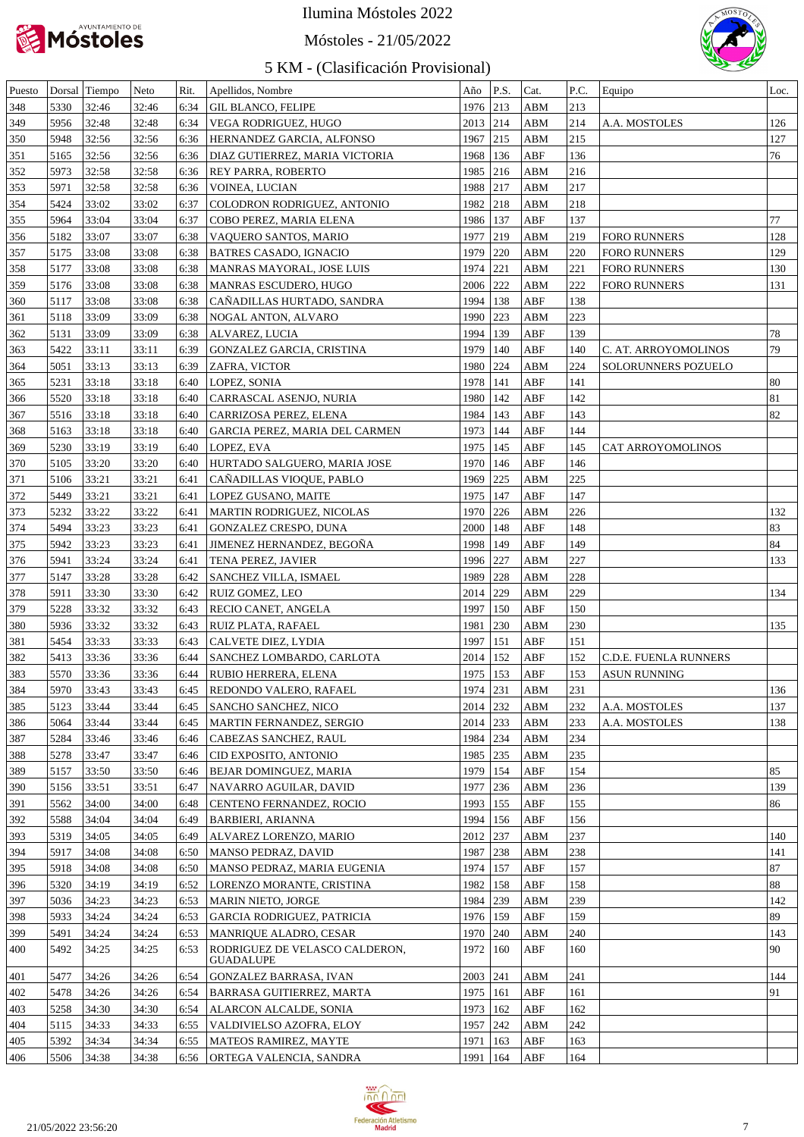

Móstoles - 21/05/2022



| Puesto |              | Dorsal Tiempo | Neto  | Rit. | Apellidos, Nombre                           | Año          | P.S.          | Cat.                    | P.C. | Equipo                | Loc. |
|--------|--------------|---------------|-------|------|---------------------------------------------|--------------|---------------|-------------------------|------|-----------------------|------|
| 348    | 5330         | 32:46         | 32:46 | 6:34 | <b>GIL BLANCO, FELIPE</b>                   | 1976 213     |               | ABM                     | 213  |                       |      |
| 349    | 5956         | 32:48         | 32:48 | 6:34 | VEGA RODRIGUEZ, HUGO                        | $2013$ 214   |               | ABM                     | 214  | A.A. MOSTOLES         | 126  |
| 350    | 5948         | 32:56         | 32:56 | 6:36 | HERNANDEZ GARCIA, ALFONSO                   | 1967 215     |               | ABM                     | 215  |                       | 127  |
| 351    | 5165         | 32:56         | 32:56 | 6:36 | DIAZ GUTIERREZ, MARIA VICTORIA              | 1968         | 136           | ABF                     | 136  |                       | 76   |
| 352    | 5973         | 32:58         | 32:58 | 6:36 | REY PARRA, ROBERTO                          | 1985 216     |               | ABM                     | 216  |                       |      |
| 353    | 5971         | 32:58         | 32:58 | 6:36 | VOINEA, LUCIAN                              | 1988 217     |               | ABM                     | 217  |                       |      |
| 354    | 5424         | 33:02         | 33:02 | 6:37 | COLODRON RODRIGUEZ, ANTONIO                 | 1982 218     |               | ABM                     | 218  |                       |      |
| 355    | 5964         | 33:04         | 33:04 | 6:37 | COBO PEREZ, MARIA ELENA                     | 1986   137   |               | ABF                     | 137  |                       | 77   |
| 356    | 5182         | 33:07         | 33:07 | 6:38 | VAQUERO SANTOS, MARIO                       | 1977 219     |               | ABM                     | 219  | <b>FORO RUNNERS</b>   | 128  |
| 357    | 5175         | 33:08         | 33:08 | 6:38 | <b>BATRES CASADO, IGNACIO</b>               | 1979 220     |               | ${\bf A}{\bf B}{\bf M}$ | 220  | <b>FORO RUNNERS</b>   | 129  |
| 358    | 5177         | 33:08         | 33:08 | 6:38 | MANRAS MAYORAL, JOSE LUIS                   | 1974 221     |               | ${\bf ABM}$             | 221  | <b>FORO RUNNERS</b>   | 130  |
| 359    | 5176         | 33:08         | 33:08 | 6:38 | MANRAS ESCUDERO, HUGO                       | 2006 222     |               | ABM                     | 222  | <b>FORO RUNNERS</b>   | 131  |
| 360    | 5117         | 33:08         | 33:08 | 6:38 | CAÑADILLAS HURTADO, SANDRA                  | 1994   138   |               | ${\rm ABF}$             | 138  |                       |      |
| 361    | 5118         | 33:09         | 33:09 | 6:38 | NOGAL ANTON, ALVARO                         | 1990 223     |               | ABM                     | 223  |                       |      |
| 362    | 5131         | 33:09         | 33:09 | 6:38 | ALVAREZ, LUCIA                              | 1994         | 139           | ABF                     | 139  |                       | 78   |
| 363    | 5422         | 33:11         | 33:11 | 6:39 | GONZALEZ GARCIA, CRISTINA                   | 1979         | 140           | ABF                     | 140  | C. AT. ARROYOMOLINOS  | 79   |
| 364    | 5051         | 33:13         | 33:13 | 6:39 | ZAFRA, VICTOR                               | 1980 224     |               | ${\bf ABM}$             | 224  | SOLORUNNERS POZUELO   |      |
| 365    | 5231         | 33:18         | 33:18 | 6:40 | LOPEZ, SONIA                                | 1978   141   |               | ABF                     | 141  |                       | 80   |
|        | 5520         | 33:18         | 33:18 | 6:40 |                                             | 1980         | 142           | ABF                     | 142  |                       | 81   |
| 366    | 5516         | 33:18         | 33:18 |      | CARRASCAL ASENJO, NURIA                     | 1984         | 143           | ABF                     | 143  |                       | 82   |
| 367    |              |               |       | 6:40 | CARRIZOSA PEREZ, ELENA                      | 1973   144   |               | ABF                     |      |                       |      |
| 368    | 5163<br>5230 | 33:18         | 33:18 | 6:40 | GARCIA PEREZ, MARIA DEL CARMEN              |              |               | ABF                     | 144  |                       |      |
| 369    |              | 33:19         | 33:19 | 6:40 | LOPEZ, EVA                                  | 1975   145   |               |                         | 145  | CAT ARROYOMOLINOS     |      |
| 370    | 5105         | 33:20         | 33:20 | 6:40 | HURTADO SALGUERO, MARIA JOSE                | 1970         | 146           | ABF                     | 146  |                       |      |
| 371    | 5106         | 33:21         | 33:21 | 6:41 | CAÑADILLAS VIOQUE, PABLO                    | 1969         | 225           | ABM                     | 225  |                       |      |
| 372    | 5449         | 33:21         | 33:21 | 6:41 | LOPEZ GUSANO, MAITE                         | 1975   147   |               | ABF                     | 147  |                       |      |
| 373    | 5232         | 33:22         | 33:22 | 6:41 | MARTIN RODRIGUEZ, NICOLAS                   | 1970 226     |               | ABM                     | 226  |                       | 132  |
| 374    | 5494         | 33:23         | 33:23 | 6:41 | GONZALEZ CRESPO, DUNA                       | 2000         | 148           | ABF                     | 148  |                       | 83   |
| 375    | 5942         | 33:23         | 33:23 | 6:41 | JIMENEZ HERNANDEZ, BEGOÑA                   | 1998         | 149           | ABF                     | 149  |                       | 84   |
| 376    | 5941         | 33:24         | 33:24 | 6:41 | TENA PEREZ, JAVIER                          | 1996 227     |               | ABM                     | 227  |                       | 133  |
| 377    | 5147         | 33:28         | 33:28 | 6:42 | SANCHEZ VILLA, ISMAEL                       | 1989 228     |               | ABM                     | 228  |                       |      |
| 378    | 5911         | 33:30         | 33:30 | 6:42 | RUIZ GOMEZ, LEO                             | 2014 229     |               | ABM                     | 229  |                       | 134  |
| 379    | 5228         | 33:32         | 33:32 | 6:43 | RECIO CANET, ANGELA                         | 1997         | 150           | ABF                     | 150  |                       |      |
| 380    | 5936         | 33:32         | 33:32 | 6:43 | RUIZ PLATA, RAFAEL                          | 1981         | $ 230\rangle$ | ABM                     | 230  |                       | 135  |
| 381    | 5454         | 33:33         | 33:33 | 6:43 | CALVETE DIEZ, LYDIA                         | 1997         | 151           | ABF                     | 151  |                       |      |
| 382    | 5413         | 33:36         | 33:36 | 6:44 | SANCHEZ LOMBARDO, CARLOTA                   | $2014$   152 |               | ABF                     | 152  | C.D.E. FUENLA RUNNERS |      |
| 383    | 5570         | 33:36         | 33:36 | 6:44 | RUBIO HERRERA, ELENA                        | 1975   153   |               | ABF                     | 153  | <b>ASUN RUNNING</b>   |      |
| 384    | 5970 33:43   |               | 33:43 |      | 6:45 REDONDO VALERO, RAFAEL                 | 1974 231     |               | ABM                     | 231  |                       | 136  |
| 385    | 5123         | 33:44         | 33:44 | 6:45 | SANCHO SANCHEZ, NICO                        | 2014 232     |               | ABM                     | 232  | A.A. MOSTOLES         | 137  |
| 386    | 5064         | 33:44         | 33:44 | 6:45 | MARTIN FERNANDEZ, SERGIO                    | 2014 233     |               | ABM                     | 233  | A.A. MOSTOLES         | 138  |
| 387    | 5284         | 33:46         | 33:46 | 6:46 | CABEZAS SANCHEZ, RAUL                       | 1984   234   |               | ABM                     | 234  |                       |      |
| 388    | 5278         | 33:47         | 33:47 | 6:46 | CID EXPOSITO, ANTONIO                       | 1985   235   |               | ABM                     | 235  |                       |      |
| 389    | 5157         | 33:50         | 33:50 | 6:46 | BEJAR DOMINGUEZ, MARIA                      | 1979   154   |               | ABF                     | 154  |                       | 85   |
| 390    | 5156         | 33:51         | 33:51 | 6:47 | NAVARRO AGUILAR, DAVID                      | 1977   236   |               | ABM                     | 236  |                       | 139  |
| 391    | 5562         | 34:00         | 34:00 | 6:48 | CENTENO FERNANDEZ, ROCIO                    | 1993   155   |               | ABF                     | 155  |                       | 86   |
| 392    | 5588         | 34:04         | 34:04 | 6:49 | <b>BARBIERI, ARIANNA</b>                    | 1994   156   |               | ABF                     | 156  |                       |      |
| 393    | 5319         | 34:05         | 34:05 | 6:49 | ALVAREZ LORENZO, MARIO                      | 2012 237     |               | ABM                     | 237  |                       | 140  |
| 394    | 5917         | 34:08         | 34:08 | 6:50 | MANSO PEDRAZ, DAVID                         | 1987 238     |               | ABM                     | 238  |                       | 141  |
| 395    | 5918         | 34:08         | 34:08 | 6:50 | MANSO PEDRAZ, MARIA EUGENIA                 | 1974   157   |               | ABF                     | 157  |                       | 87   |
| 396    | 5320         | 34:19         | 34:19 | 6:52 | LORENZO MORANTE, CRISTINA                   | 1982   158   |               | ABF                     | 158  |                       | 88   |
| 397    | 5036         | 34:23         | 34:23 | 6:53 | <b>MARIN NIETO, JORGE</b>                   | 1984 239     |               | ABM                     | 239  |                       | 142  |
| 398    | 5933         | 34:24         | 34:24 | 6:53 | <b>GARCIA RODRIGUEZ, PATRICIA</b>           | 1976   159   |               | ABF                     | 159  |                       | 89   |
| 399    | 5491         | 34:24         | 34:24 | 6:53 | MANRIQUE ALADRO, CESAR                      | 1970   240   |               | ABM                     | 240  |                       | 143  |
| 400    | 5492         | 34:25         | 34:25 | 6:53 | RODRIGUEZ DE VELASCO CALDERON,<br>GUADALUPE | 1972   160   |               | ABF                     | 160  |                       | 90   |
| 401    | 5477         | 34:26         | 34:26 | 6:54 | GONZALEZ BARRASA, IVAN                      | 2003 241     |               | ABM                     | 241  |                       | 144  |
| 402    | 5478         | 34:26         | 34:26 | 6:54 | BARRASA GUITIERREZ, MARTA                   | 1975   161   |               | ABF                     | 161  |                       | 91   |
| 403    | 5258         | 34:30         | 34:30 | 6:54 | ALARCON ALCALDE, SONIA                      | 1973   162   |               | ABF                     | 162  |                       |      |
| 404    | 5115         | 34:33         | 34:33 | 6:55 | VALDIVIELSO AZOFRA, ELOY                    | 1957 242     |               | ABM                     | 242  |                       |      |
| 405    | 5392         | 34:34         | 34:34 | 6:55 | MATEOS RAMIREZ, MAYTE                       | 1971         | 163           | ABF                     | 163  |                       |      |
| 406    | 5506         | 34:38         | 34:38 |      | 6:56   ORTEGA VALENCIA, SANDRA              | 1991   164   |               | ABF                     | 164  |                       |      |

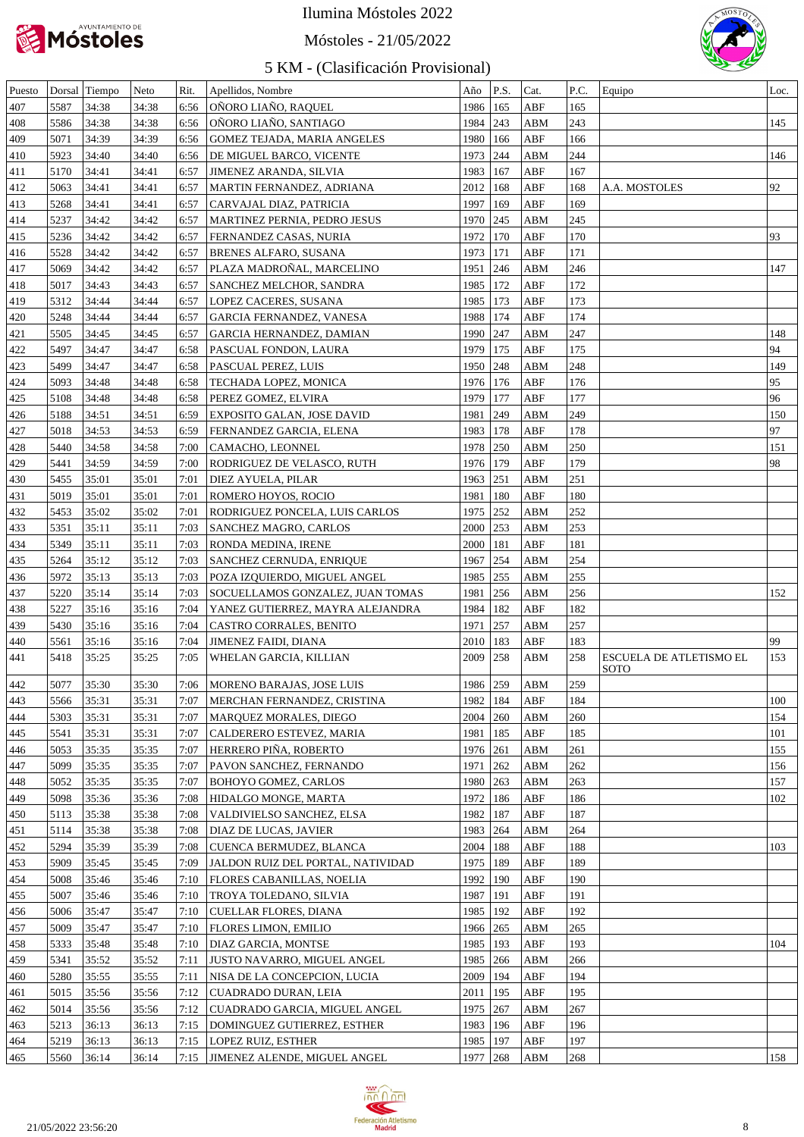

## Móstoles - 21/05/2022



| Puesto |      | Dorsal Tiempo | Neto  | Rit. | Apellidos, Nombre                  | Año        | P.S.           | Cat.                    | P.C. | Equipo                                 | Loc. |
|--------|------|---------------|-------|------|------------------------------------|------------|----------------|-------------------------|------|----------------------------------------|------|
| 407    | 5587 | 34:38         | 34:38 | 6:56 | OÑORO LIAÑO, RAQUEL                | 1986   165 |                | ABF                     | 165  |                                        |      |
| 408    | 5586 | 34:38         | 34:38 | 6:56 | ONORO LIANO, SANTIAGO              | 1984 243   |                | ABM                     | 243  |                                        | 145  |
| 409    | 5071 | 34:39         | 34:39 | 6:56 | <b>GOMEZ TEJADA, MARIA ANGELES</b> | 1980       | 166            | ABF                     | 166  |                                        |      |
| 410    | 5923 | 34:40         | 34:40 | 6:56 | DE MIGUEL BARCO, VICENTE           | 1973       | 244            | ABM                     | 244  |                                        | 146  |
| 411    | 5170 | 34:41         | 34:41 | 6:57 | <b>JIMENEZ ARANDA, SILVIA</b>      | 1983       | 167            | ABF                     | 167  |                                        |      |
| 412    | 5063 | 34:41         | 34:41 | 6:57 | MARTIN FERNANDEZ, ADRIANA          | 2012       | 168            | ABF                     | 168  | A.A. MOSTOLES                          | 92   |
| 413    | 5268 | 34:41         | 34:41 | 6:57 | CARVAJAL DIAZ, PATRICIA            | 1997       | 169            | ABF                     | 169  |                                        |      |
| 414    | 5237 | 34:42         | 34:42 | 6:57 | MARTINEZ PERNIA, PEDRO JESUS       | 1970       | 245            | ABM                     | 245  |                                        |      |
| 415    | 5236 | 34:42         | 34:42 | 6:57 | <b>FERNANDEZ CASAS, NURIA</b>      | 1972       | 170            | ABF                     | 170  |                                        | 93   |
| 416    | 5528 | 34:42         | 34:42 | 6:57 | <b>BRENES ALFARO, SUSANA</b>       | 1973       | 171            | ABF                     | 171  |                                        |      |
| 417    | 5069 | 34:42         | 34:42 | 6:57 | PLAZA MADRONAL, MARCELINO          | 1951       | 246            | ABM                     | 246  |                                        | 147  |
|        |      |               |       |      |                                    |            |                |                         |      |                                        |      |
| 418    | 5017 | 34:43         | 34:43 | 6:57 | SANCHEZ MELCHOR, SANDRA            | 1985       | 172            | ABF                     | 172  |                                        |      |
| 419    | 5312 | 34:44         | 34:44 | 6:57 | LOPEZ CACERES, SUSANA              | 1985       | 173            | ABF                     | 173  |                                        |      |
| 420    | 5248 | 34:44         | 34:44 | 6:57 | GARCIA FERNANDEZ, VANESA           | 1988       | 174            | ABF                     | 174  |                                        |      |
| 421    | 5505 | 34:45         | 34:45 | 6:57 | GARCIA HERNANDEZ, DAMIAN           | 1990 247   |                | ABM                     | 247  |                                        | 148  |
| 422    | 5497 | 34:47         | 34:47 | 6:58 | PASCUAL FONDON, LAURA              | 1979       | 175            | ABF                     | 175  |                                        | 94   |
| 423    | 5499 | 34:47         | 34:47 | 6:58 | PASCUAL PEREZ, LUIS                | 1950       | 248            | ABM                     | 248  |                                        | 149  |
| 424    | 5093 | 34:48         | 34:48 | 6:58 | TECHADA LOPEZ, MONICA              | 1976       | 176            | ABF                     | 176  |                                        | 95   |
| 425    | 5108 | 34:48         | 34:48 | 6:58 | PEREZ GOMEZ, ELVIRA                | 1979       | 177            | ABF                     | 177  |                                        | 96   |
| 426    | 5188 | 34:51         | 34:51 | 6:59 | <b>EXPOSITO GALAN, JOSE DAVID</b>  | 1981       | 249            | ABM                     | 249  |                                        | 150  |
| 427    | 5018 | 34:53         | 34:53 | 6:59 | FERNANDEZ GARCIA, ELENA            | 1983       | 178            | ABF                     | 178  |                                        | 97   |
| 428    | 5440 | 34:58         | 34:58 | 7:00 | CAMACHO, LEONNEL                   | 1978       | 250            | ABM                     | 250  |                                        | 151  |
| 429    | 5441 | 34:59         | 34:59 | 7:00 | RODRIGUEZ DE VELASCO, RUTH         | 1976       | <sup>179</sup> | ABF                     | 179  |                                        | 98   |
| 430    | 5455 | 35:01         | 35:01 | 7:01 | <b>DIEZ AYUELA, PILAR</b>          | 1963       | 251            | ABM                     | 251  |                                        |      |
| 431    | 5019 | 35:01         | 35:01 | 7:01 | ROMERO HOYOS, ROCIO                | 1981       | 180            | ABF                     | 180  |                                        |      |
| 432    | 5453 | 35:02         | 35:02 | 7:01 | RODRIGUEZ PONCELA, LUIS CARLOS     | 1975       | 252            | ABM                     | 252  |                                        |      |
| 433    | 5351 | 35:11         | 35:11 | 7:03 | SANCHEZ MAGRO, CARLOS              | 2000       | 253            | ABM                     | 253  |                                        |      |
| 434    | 5349 | 35:11         | 35:11 | 7:03 | RONDA MEDINA, IRENE                | 2000       | 181            | ABF                     | 181  |                                        |      |
| 435    | 5264 | 35:12         | 35:12 | 7:03 | SANCHEZ CERNUDA, ENRIQUE           | 1967       | 254            | ABM                     | 254  |                                        |      |
| 436    | 5972 | 35:13         | 35:13 | 7:03 | POZA IZQUIERDO, MIGUEL ANGEL       | 1985       | 255            | ABM                     | 255  |                                        |      |
| 437    | 5220 | 35:14         | 35:14 | 7:03 | SOCUELLAMOS GONZALEZ, JUAN TOMAS   | 1981       | 256            | ABM                     | 256  |                                        | 152  |
| 438    | 5227 | 35:16         | 35:16 | 7:04 | YANEZ GUTIERREZ, MAYRA ALEJANDRA   | 1984       | 182            | ABF                     | 182  |                                        |      |
|        |      |               |       | 7:04 |                                    |            | 257            |                         |      |                                        |      |
| 439    | 5430 | 35:16         | 35:16 |      | CASTRO CORRALES, BENITO            | 1971       |                | ABM                     | 257  |                                        | 99   |
| 440    | 5561 | 35:16         | 35:16 | 7:04 | <b>JIMENEZ FAIDI, DIANA</b>        | 2010       | 183            | ABF                     | 183  |                                        |      |
| 441    | 5418 | 35:25         | 35:25 | 7:05 | WHELAN GARCIA, KILLIAN             | 2009       | 258            | ABM                     | 258  | ESCUELA DE ATLETISMO EL<br><b>SOTO</b> | 153  |
| 442    | 5077 | 35:30         | 35:30 |      | 7:06   MORENO BARAJAS, JOSE LUIS   | 1986 259   |                | ${\bf A}{\bf B}{\bf M}$ | 259  |                                        |      |
| 443    | 5566 | 35:31         | 35:31 | 7:07 | MERCHAN FERNANDEZ, CRISTINA        | 1982       | 184            | ABF                     | 184  |                                        | 100  |
| 444    | 5303 | 35:31         | 35:31 | 7:07 | MARQUEZ MORALES, DIEGO             | 2004       | 260            | ABM                     | 260  |                                        | 154  |
| 445    | 5541 | 35:31         | 35:31 | 7:07 | CALDERERO ESTEVEZ, MARIA           | 1981       | 185            | ABF                     | 185  |                                        | 101  |
| 446    | 5053 | 35:35         | 35:35 | 7:07 | HERRERO PIÑA, ROBERTO              | 1976 261   |                | ABM                     | 261  |                                        | 155  |
| 447    | 5099 | 35:35         | 35:35 | 7:07 | PAVON SANCHEZ, FERNANDO            | 1971       | 262            | ABM                     | 262  |                                        | 156  |
|        |      |               |       |      |                                    |            |                |                         |      |                                        |      |
| 448    | 5052 | 35:35         | 35:35 | 7:07 | <b>BOHOYO GOMEZ, CARLOS</b>        | 1980       | 263            | ABM                     | 263  |                                        | 157  |
| 449    | 5098 | 35:36         | 35:36 | 7:08 | HIDALGO MONGE, MARTA               | 1972       | 186            | ABF                     | 186  |                                        | 102  |
| 450    | 5113 | 35:38         | 35:38 | 7:08 | VALDIVIELSO SANCHEZ, ELSA          | 1982       | 187            | ABF                     | 187  |                                        |      |
| 451    | 5114 | 35:38         | 35:38 | 7:08 | <b>DIAZ DE LUCAS, JAVIER</b>       | 1983       | 264            | ABM                     | 264  |                                        |      |
| 452    | 5294 | 35:39         | 35:39 | 7:08 | CUENCA BERMUDEZ, BLANCA            | 2004       | 188            | ABF                     | 188  |                                        | 103  |
| 453    | 5909 | 35:45         | 35:45 | 7:09 | JALDON RUIZ DEL PORTAL, NATIVIDAD  | 1975       | 189            | ABF                     | 189  |                                        |      |
| 454    | 5008 | 35:46         | 35:46 | 7:10 | <b>FLORES CABANILLAS, NOELIA</b>   | 1992       | 190            | ABF                     | 190  |                                        |      |
| 455    | 5007 | 35:46         | 35:46 | 7:10 | TROYA TOLEDANO, SILVIA             | 1987       | 191            | ABF                     | 191  |                                        |      |
| 456    | 5006 | 35:47         | 35:47 | 7:10 | CUELLAR FLORES, DIANA              | 1985       | 192            | ABF                     | 192  |                                        |      |
| 457    | 5009 | 35:47         | 35:47 | 7:10 | <b>FLORES LIMON, EMILIO</b>        | 1966       | 265            | ABM                     | 265  |                                        |      |
| 458    | 5333 | 35:48         | 35:48 | 7:10 | DIAZ GARCIA, MONTSE                | 1985       | 193            | ABF                     | 193  |                                        | 104  |
| 459    | 5341 | 35:52         | 35:52 | 7:11 | <b>JUSTO NAVARRO, MIGUEL ANGEL</b> | 1985       | 266            | ABM                     | 266  |                                        |      |
| 460    | 5280 | 35:55         | 35:55 | 7:11 | NISA DE LA CONCEPCION, LUCIA       | 2009       | 194            | ABF                     | 194  |                                        |      |
| 461    | 5015 | 35:56         | 35:56 | 7:12 | CUADRADO DURAN, LEIA               | 2011       | 195            | ABF                     | 195  |                                        |      |
| 462    | 5014 | 35:56         | 35:56 | 7:12 | CUADRADO GARCIA, MIGUEL ANGEL      | 1975       | 267            | ABM                     | 267  |                                        |      |
| 463    | 5213 | 36:13         | 36:13 | 7:15 | DOMINGUEZ GUTIERREZ, ESTHER        | 1983       | 196            | ABF                     | 196  |                                        |      |
| 464    | 5219 | 36:13         | 36:13 | 7:15 | LOPEZ RUIZ, ESTHER                 | 1985       | 197            | ABF                     | 197  |                                        |      |
| 465    | 5560 | 36:14         | 36:14 |      | 7:15 JIMENEZ ALENDE, MIGUEL ANGEL  | 1977       | 268            | ABM                     | 268  |                                        | 158  |
|        |      |               |       |      |                                    |            |                |                         |      |                                        |      |

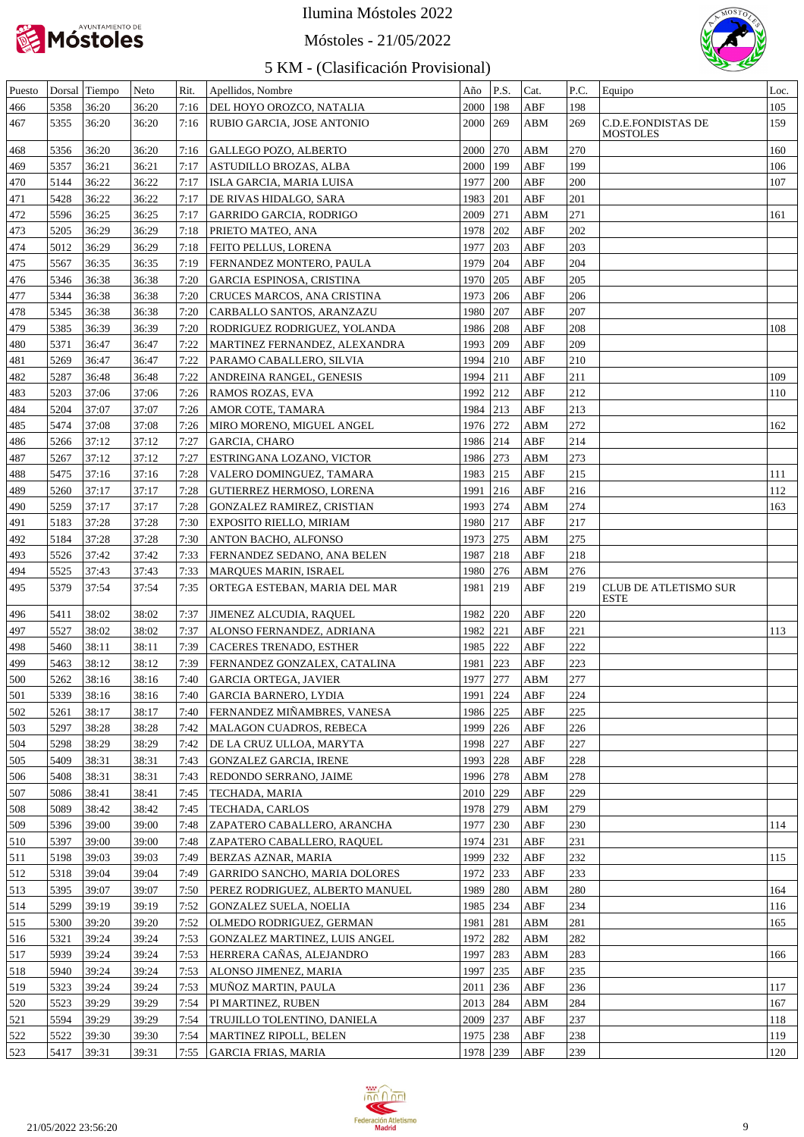

#### Móstoles - 21/05/2022



| Puesto     |              | Dorsal Tiempo  | Neto           | Rit. | Apellidos, Nombre                                  | Año                  | P.S.              | Cat.       | P.C.       | Equipo                                | Loc.       |
|------------|--------------|----------------|----------------|------|----------------------------------------------------|----------------------|-------------------|------------|------------|---------------------------------------|------------|
| 466        | 5358         | 36:20          | 36:20          |      | 7:16   DEL HOYO OROZCO, NATALIA                    | 2000                 | 198               | ABF        | 198        |                                       | 105        |
| 467        | 5355         | 36:20          | 36:20          |      | 7:16   RUBIO GARCIA, JOSE ANTONIO                  | 2000   269           |                   | ABM        | 269        | C.D.E.FONDISTAS DE<br><b>MOSTOLES</b> | 159        |
| 468        | 5356         | 36:20          | 36:20          | 7:16 | <b>GALLEGO POZO, ALBERTO</b>                       | 2000                 | 270               | ABM        | 270        |                                       | 160        |
| 469        | 5357         | 36:21          | 36:21          | 7:17 | ASTUDILLO BROZAS, ALBA                             | 2000                 | 199               | ABF        | 199        |                                       | 106        |
| 470        | 5144         | 36:22          | 36:22          | 7:17 | ISLA GARCIA, MARIA LUISA                           | 1977                 | 200               | ABF        | 200        |                                       | 107        |
| 471        | 5428         | 36:22          | 36:22          | 7:17 | DE RIVAS HIDALGO, SARA                             | 1983                 | 201               | ABF        | 201        |                                       |            |
| 472        | 5596         | 36:25          | 36:25          | 7:17 | <b>GARRIDO GARCIA, RODRIGO</b>                     | 2009                 | 271               | ABM        | 271        |                                       | 161        |
| 473        | 5205         | 36:29          | 36:29          | 7:18 | PRIETO MATEO, ANA                                  | 1978                 | 202               | ABF        | 202        |                                       |            |
| 474        | 5012         | 36:29          | 36:29          | 7:18 | FEITO PELLUS, LORENA                               | 1977                 | 203               | ABF        | 203        |                                       |            |
| 475        | 5567         | 36:35          | 36:35          | 7:19 | FERNANDEZ MONTERO, PAULA                           | 1979                 | 204               | ABF        | 204        |                                       |            |
| 476        | 5346         | 36:38          | 36:38          | 7:20 | GARCIA ESPINOSA, CRISTINA                          | 1970                 | 205               | ABF        | 205        |                                       |            |
| 477        | 5344         | 36:38          | 36:38          | 7:20 | CRUCES MARCOS, ANA CRISTINA                        | 1973                 | 206               | ABF        | 206        |                                       |            |
| 478        | 5345         | 36:38          | 36:38          | 7:20 | CARBALLO SANTOS, ARANZAZU                          | 1980 207             |                   | ABF        | 207        |                                       |            |
| 479        | 5385         | 36:39          | 36:39          | 7:20 | RODRIGUEZ RODRIGUEZ, YOLANDA                       | 1986 208             |                   | ABF        | 208        |                                       | 108        |
| 480        | 5371         | 36:47          | 36:47          | 7:22 | MARTINEZ FERNANDEZ, ALEXANDRA                      | 1993 209             |                   | ABF        | 209        |                                       |            |
| 481        | 5269         | 36:47          | 36:47          | 7:22 | PARAMO CABALLERO, SILVIA                           | 1994 210             |                   | ABF        | 210        |                                       |            |
| 482        | 5287         | 36:48          | 36:48          | 7:22 | ANDREINA RANGEL, GENESIS                           | 1994                 | 211               | ABF        | 211        |                                       | 109        |
| 483        | 5203         | 37:06          | 37:06          | 7:26 | RAMOS ROZAS, EVA                                   | 1992 212             |                   | ABF        | 212        |                                       | 110        |
| 484        | 5204         | 37:07          | 37:07          | 7:26 | AMOR COTE, TAMARA                                  | 1984 213             |                   | ABF        | 213        |                                       |            |
| 485        | 5474         | 37:08          | 37:08          | 7:26 | MIRO MORENO, MIGUEL ANGEL                          | 1976 272             |                   | <b>ABM</b> | 272        |                                       | 162        |
| 486        | 5266         | 37:12          | 37:12          | 7:27 | <b>GARCIA, CHARO</b>                               | 1986 214             |                   | ABF        | 214        |                                       |            |
| 487        | 5267         | 37:12          | 37:12          | 7:27 | ESTRINGANA LOZANO, VICTOR                          | 1986 273             |                   | ABM        | 273        |                                       |            |
| 488        | 5475         | 37:16          | 37:16          | 7:28 | VALERO DOMINGUEZ, TAMARA                           | 1983 215             |                   | ABF        | 215        |                                       | 111        |
| 489        | 5260         | 37:17          | 37:17          | 7:28 | <b>GUTIERREZ HERMOSO, LORENA</b>                   | 1991                 | 216               | ABF        | 216        |                                       | 112        |
| 490        | 5259         | 37:17          | 37:17          | 7:28 | <b>GONZALEZ RAMIREZ, CRISTIAN</b>                  | 1993                 | 274               | ABM        | 274        |                                       | 163        |
| 491        | 5183         | 37:28          | 37:28          | 7:30 | EXPOSITO RIELLO, MIRIAM                            | 1980 217             |                   | ABF        | 217        |                                       |            |
| 492        | 5184         | 37:28          | 37:28          | 7:30 | <b>ANTON BACHO, ALFONSO</b>                        | 1973 275             |                   | ABM        | 275        |                                       |            |
| 493        | 5526         | 37:42          | 37:42          | 7:33 | FERNANDEZ SEDANO, ANA BELEN                        | 1987                 | 218               | ABF        | 218        |                                       |            |
| 494        | 5525         | 37:43          | 37:43          | 7:33 | MARQUES MARIN, ISRAEL                              | 1980   276           |                   | ABM        | 276        |                                       |            |
| 495        | 5379         | 37:54          | 37:54          | 7:35 | ORTEGA ESTEBAN, MARIA DEL MAR                      | 1981                 | 219               | ABF        | 219        | CLUB DE ATLETISMO SUR                 |            |
|            |              |                |                |      |                                                    |                      |                   |            |            | ESTE                                  |            |
| 496        | 5411         | 38:02          | 38:02          | 7:37 | JIMENEZ ALCUDIA, RAQUEL                            | 1982 220             |                   | <b>ABF</b> | 220        |                                       |            |
| 497        | 5527         | 38:02          | 38:02          | 7:37 | ALONSO FERNANDEZ, ADRIANA                          | 1982 221             |                   | ABF        | 221        |                                       | 113        |
| 498        | 5460         | 38:11          | 38:11          | 7:39 | CACERES TRENADO, ESTHER                            | 1985 222             |                   | <b>ABF</b> | 222        |                                       |            |
| 499        | 5463         | 38:12          | 38:12          | 7:39 | <b>FERNANDEZ GONZALEX, CATALINA</b>                | 1981                 | 223               | <b>ABF</b> | 223        |                                       |            |
| 500        | 5262         | 38:16          | 38:16          | 7:40 | <b>GARCIA ORTEGA, JAVIER</b>                       | 1977 277             |                   | <b>ABM</b> | 277        |                                       |            |
| 501        | 5339         | 38:16          | 38:16          |      | 7:40 GARCIA BARNERO, LYDIA                         | 1991 224             |                   | <b>ABF</b> | 224        |                                       |            |
| 502        | 5261         | 38:17          | 38:17          | 7:40 | FERNANDEZ MIÑAMBRES, VANESA                        | 1986 225             |                   | ABF        | 225        |                                       |            |
| 503        | 5297         | 38:28          | 38:28          | 7:42 | MALAGON CUADROS, REBECA                            | 1999 226             |                   | ABF        | 226        |                                       |            |
| 504        | 5298         | 38:29          | 38:29          | 7:42 | DE LA CRUZ ULLOA, MARYTA                           | 1998 227             |                   | ABF        | 227        |                                       |            |
| 505        | 5409         | 38:31          | 38:31          | 7:43 | GONZALEZ GARCIA, IRENE                             | 1993 228             |                   | ABF        | 228        |                                       |            |
| 506        | 5408         | 38:31          | 38:31          | 7:43 | <b>REDONDO SERRANO, JAIME</b>                      | 1996 278             |                   | ABM        | 278        |                                       |            |
| 507        | 5086         | 38:41          | 38:41          | 7:45 | TECHADA, MARIA                                     | 2010 229             |                   | ABF        | 229        |                                       |            |
| 508        | 5089         | 38:42          | 38:42          | 7:45 | TECHADA, CARLOS                                    | 1978 279             |                   | ABM        | 279        |                                       |            |
| 509        | 5396         | 39:00          | 39:00          | 7:48 | ZAPATERO CABALLERO, ARANCHA                        | 1977                 | 230               | ABF        | 230        |                                       | 114        |
| 510        | 5397         | 39:00          | 39:00          | 7:48 | ZAPATERO CABALLERO, RAQUEL                         | 1974 231             |                   | ABF        | 231        |                                       |            |
| 511        | 5198         | 39:03          | 39:03          | 7:49 | <b>BERZAS AZNAR, MARIA</b>                         | 1999 232             |                   | ABF        | 232        |                                       | 115        |
| 512        | 5318         | 39:04          | 39:04          | 7:49 | GARRIDO SANCHO, MARIA DOLORES                      | 1972 233             |                   | ABF        | 233        |                                       |            |
| 513        | 5395         | 39:07          | 39:07          | 7:50 | PEREZ RODRIGUEZ, ALBERTO MANUEL                    | 1989 280             |                   | ABM        | 280        |                                       | 164        |
| 514        | 5299         | 39:19          | 39:19          | 7:52 | GONZALEZ SUELA, NOELIA                             | 1985 234             |                   | ABF        | 234        |                                       | 116        |
| 515        | 5300         | 39:20          | 39:20          | 7:52 | <b>OLMEDO RODRIGUEZ, GERMAN</b>                    | 1981                 | 281               | ABM        | 281        |                                       | 165        |
| 516        | 5321         | 39:24          | 39:24          | 7:53 | GONZALEZ MARTINEZ, LUIS ANGEL                      | 1972 282             |                   | ABM        | 282        |                                       |            |
| 517        | 5939         | 39:24          | 39:24          | 7:53 | HERRERA CAÑAS, ALEJANDRO                           | 1997                 | 283               | ABM        | 283        |                                       | 166        |
| 518        | 5940         | 39:24          | 39:24          | 7:53 | <b>ALONSO JIMENEZ, MARIA</b>                       | 1997                 | $\vert 235 \vert$ | ABF        | 235        |                                       |            |
| 519        | 5323         | 39:24          | 39:24          | 7:53 | MUÑOZ MARTIN, PAULA                                | 2011                 | 236               | ABF        | 236        |                                       | 117        |
| 520        |              | 39:29          | 39:29          | 7:54 | PI MARTINEZ, RUBEN                                 | 2013 284             |                   | ABM        | 284        |                                       | 167        |
|            | 5523         |                |                |      |                                                    |                      |                   |            |            |                                       |            |
| 521        | 5594         | 39:29          | 39:29          | 7:54 | TRUJILLO TOLENTINO, DANIELA                        | 2009 237             |                   | ABF        | 237        |                                       | 118        |
| 522<br>523 | 5522<br>5417 | 39:30<br>39:31 | 39:30<br>39:31 | 7:54 | MARTINEZ RIPOLL, BELEN<br>7:55 GARCIA FRIAS, MARIA | 1975 238<br>1978 239 |                   | ABF<br>ABF | 238<br>239 |                                       | 119<br>120 |

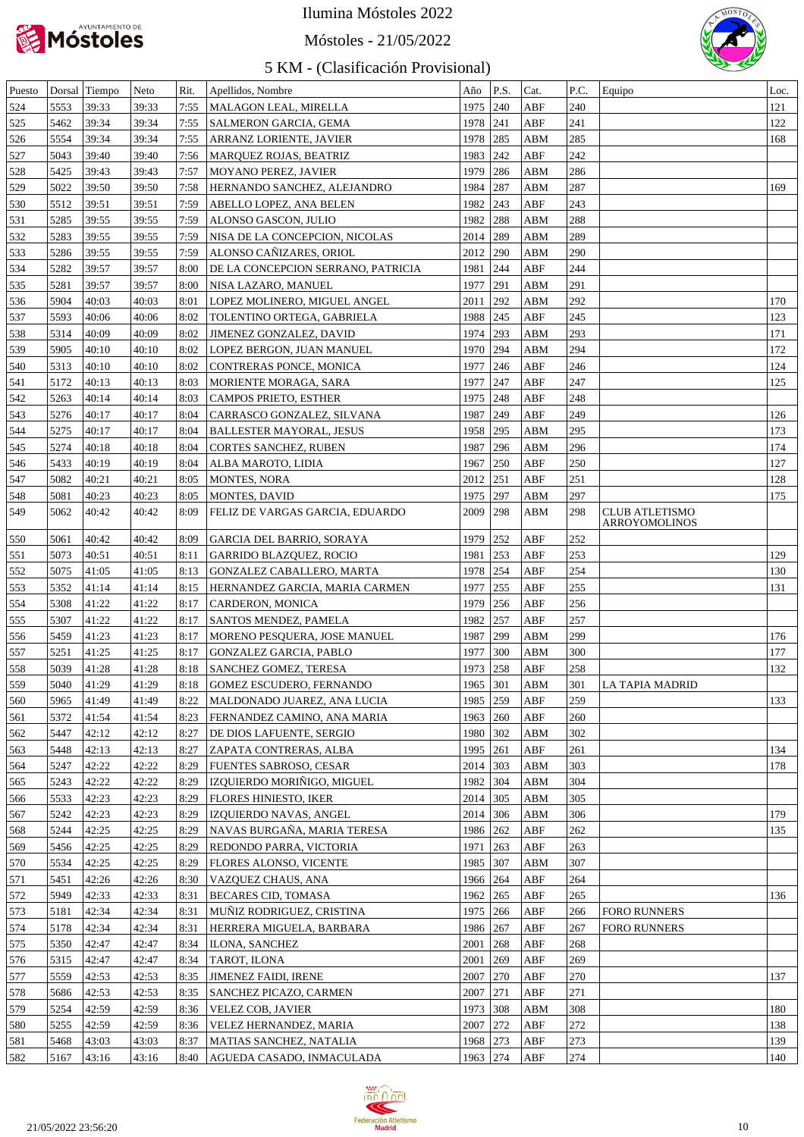

#### Móstoles - 21/05/2022



| Puesto |      | Dorsal Tiempo | Neto  | Rit. | Apellidos, Nombre                  | Año        | P.S.          | Cat.                    | P.C. | Equipo                                 | Loc. |
|--------|------|---------------|-------|------|------------------------------------|------------|---------------|-------------------------|------|----------------------------------------|------|
| 524    | 5553 | 39:33         | 39:33 | 7:55 | MALAGON LEAL, MIRELLA              | 1975       | $ 240\rangle$ | ABF                     | 240  |                                        | 121  |
| 525    | 5462 | 39:34         | 39:34 | 7:55 | <b>SALMERON GARCIA, GEMA</b>       | 1978       | 241           | ABF                     | 241  |                                        | 122  |
| 526    | 5554 | 39:34         | 39:34 | 7:55 | ARRANZ LORIENTE, JAVIER            | 1978       | 285           | ABM                     | 285  |                                        | 168  |
| 527    | 5043 | 39:40         | 39:40 | 7:56 | MARQUEZ ROJAS, BEATRIZ             | 1983       | 242           | ABF                     | 242  |                                        |      |
| 528    | 5425 | 39:43         | 39:43 | 7:57 | MOYANO PEREZ, JAVIER               | 1979       | 286           | ABM                     | 286  |                                        |      |
| 529    | 5022 | 39:50         | 39:50 | 7:58 | HERNANDO SANCHEZ, ALEJANDRO        | 1984       | 287           | ABM                     | 287  |                                        | 169  |
| 530    | 5512 | 39:51         | 39:51 | 7:59 | ABELLO LOPEZ, ANA BELEN            | 1982       | 243           | ABF                     | 243  |                                        |      |
| 531    | 5285 | 39:55         | 39:55 | 7:59 | ALONSO GASCON, JULIO               | 1982       | 288           | ABM                     | 288  |                                        |      |
| 532    | 5283 | 39:55         | 39:55 | 7:59 | NISA DE LA CONCEPCION, NICOLAS     | 2014 289   |               | ABM                     | 289  |                                        |      |
| 533    | 5286 | 39:55         | 39:55 | 7:59 | ALONSO CAÑIZARES, ORIOL            | 2012 290   |               | ABM                     | 290  |                                        |      |
| 534    | 5282 | 39:57         | 39:57 | 8:00 | DE LA CONCEPCION SERRANO, PATRICIA | 1981       | 244           | ABF                     | 244  |                                        |      |
| 535    | 5281 | 39:57         | 39:57 | 8:00 | NISA LAZARO, MANUEL                | 1977       | 291           | ABM                     | 291  |                                        |      |
| 536    | 5904 | 40:03         | 40:03 | 8:01 | LOPEZ MOLINERO, MIGUEL ANGEL       | 2011       | 292           | ABM                     | 292  |                                        | 170  |
| 537    | 5593 | 40:06         | 40:06 | 8:02 | TOLENTINO ORTEGA, GABRIELA         | 1988       | 245           | ABF                     | 245  |                                        | 123  |
| 538    | 5314 | 40:09         | 40:09 | 8:02 | <b>JIMENEZ GONZALEZ, DAVID</b>     | 1974       | 293           | ABM                     | 293  |                                        | 171  |
|        |      |               |       |      |                                    |            |               |                         |      |                                        |      |
| 539    | 5905 | 40:10         | 40:10 | 8:02 | LOPEZ BERGON, JUAN MANUEL          | 1970       | 294           | ABM                     | 294  |                                        | 172  |
| 540    | 5313 | 40:10         | 40:10 | 8:02 | CONTRERAS PONCE, MONICA            | 1977       | 246           | ABF                     | 246  |                                        | 124  |
| 541    | 5172 | 40:13         | 40:13 | 8:03 | MORIENTE MORAGA, SARA              | 1977       | 247           | ABF                     | 247  |                                        | 125  |
| 542    | 5263 | 40:14         | 40:14 | 8:03 | CAMPOS PRIETO, ESTHER              | 1975       | 248           | ABF                     | 248  |                                        |      |
| 543    | 5276 | 40:17         | 40:17 | 8:04 | CARRASCO GONZALEZ, SILVANA         | 1987       | 249           | ABF                     | 249  |                                        | 126  |
| 544    | 5275 | 40:17         | 40:17 | 8:04 | <b>BALLESTER MAYORAL, JESUS</b>    | 1958       | 295           | ABM                     | 295  |                                        | 173  |
| 545    | 5274 | 40:18         | 40:18 | 8:04 | CORTES SANCHEZ, RUBEN              | 1987       | 296           | ABM                     | 296  |                                        | 174  |
| 546    | 5433 | 40:19         | 40:19 | 8:04 | ALBA MAROTO, LIDIA                 | 1967       | 250           | ABF                     | 250  |                                        | 127  |
| 547    | 5082 | 40:21         | 40:21 | 8:05 | MONTES, NORA                       | 2012       | 251           | ABF                     | 251  |                                        | 128  |
| 548    | 5081 | 40:23         | 40:23 | 8:05 | MONTES, DAVID                      | 1975       | 297           | ABM                     | 297  |                                        | 175  |
| 549    | 5062 | 40:42         | 40:42 | 8:09 | FELIZ DE VARGAS GARCIA, EDUARDO    | 2009       | 298           | ABM                     | 298  | <b>CLUB ATLETISMO</b><br>ARROYOMOLINOS |      |
| 550    | 5061 | 40:42         | 40:42 | 8:09 | <b>GARCIA DEL BARRIO, SORAYA</b>   | 1979       | 252           | ABF                     | 252  |                                        |      |
| 551    | 5073 | 40:51         | 40:51 | 8:11 | <b>GARRIDO BLAZQUEZ, ROCIO</b>     | 1981       | 253           | ABF                     | 253  |                                        | 129  |
| 552    | 5075 | 41:05         | 41:05 | 8:13 | GONZALEZ CABALLERO, MARTA          | 1978       | 254           | ABF                     | 254  |                                        | 130  |
| 553    | 5352 | 41:14         | 41:14 | 8:15 | HERNANDEZ GARCIA, MARIA CARMEN     | 1977       | 255           | ABF                     | 255  |                                        | 131  |
| 554    | 5308 | 41:22         | 41:22 | 8:17 | CARDERON, MONICA                   | 1979       | 256           | ABF                     | 256  |                                        |      |
| 555    | 5307 | 41:22         | 41:22 | 8:17 | <b>SANTOS MENDEZ, PAMELA</b>       | 1982       | 257           | ABF                     | 257  |                                        |      |
| 556    | 5459 | 41:23         | 41:23 | 8:17 | MORENO PESQUERA, JOSE MANUEL       | 1987       | 299           | ABM                     | 299  |                                        | 176  |
| 557    | 5251 | 41:25         | 41:25 | 8:17 | GONZALEZ GARCIA, PABLO             | 1977       | 300           | ABM                     | 300  |                                        | 177  |
| 558    | 5039 | 41:28         | 41:28 | 8:18 | <b>SANCHEZ GOMEZ, TERESA</b>       | 1973       | 258           | ABF                     | 258  |                                        | 132  |
| 559    | 5040 | 41:29         | 41:29 | 8:18 | GOMEZ ESCUDERO, FERNANDO           | 1965 301   |               | ABM                     | 301  | LA TAPIA MADRID                        |      |
| 560    | 5965 | 41:49         | 41:49 | 8:22 | MALDONADO JUAREZ, ANA LUCIA        | 1985   259 |               | ABF                     | 259  |                                        | 133  |
| 561    | 5372 | 41:54         | 41:54 | 8:23 | FERNANDEZ CAMINO, ANA MARIA        | 1963       | 260           | ABF                     | 260  |                                        |      |
| 562    | 5447 | 42:12         | 42:12 | 8:27 | DE DIOS LAFUENTE, SERGIO           | 1980 302   |               | ABM                     | 302  |                                        |      |
| 563    | 5448 | 42:13         | 42:13 | 8:27 | ZAPATA CONTRERAS, ALBA             | 1995       | 261           | ABF                     | 261  |                                        | 134  |
| 564    | 5247 | 42:22         | 42:22 | 8:29 | <b>FUENTES SABROSO, CESAR</b>      | 2014       | 303           | ABM                     | 303  |                                        | 178  |
| 565    | 5243 | 42:22         | 42:22 | 8:29 | IZQUIERDO MORIÑIGO, MIGUEL         | 1982       | 304           | ABM                     | 304  |                                        |      |
| 566    | 5533 | 42:23         | 42:23 | 8:29 | <b>FLORES HINIESTO, IKER</b>       | 2014       | 305           | ABM                     | 305  |                                        |      |
| 567    | 5242 | 42:23         | 42:23 | 8:29 | IZQUIERDO NAVAS, ANGEL             | 2014       | 306           | ABM                     | 306  |                                        | 179  |
| 568    | 5244 | 42:25         | 42:25 | 8:29 | NAVAS BURGAÑA, MARIA TERESA        | 1986 262   |               | ABF                     | 262  |                                        | 135  |
| 569    | 5456 | 42:25         | 42:25 | 8:29 | REDONDO PARRA, VICTORIA            | 1971       | 263           | ABF                     | 263  |                                        |      |
|        |      |               |       |      |                                    |            |               |                         |      |                                        |      |
| 570    | 5534 | 42:25         | 42:25 | 8:29 | <b>FLORES ALONSO, VICENTE</b>      | 1985       | 307           | ${\bf A}{\bf B}{\bf M}$ | 307  |                                        |      |
| 571    | 5451 | 42:26         | 42:26 | 8:30 | VAZQUEZ CHAUS, ANA                 | 1966 264   |               | ABF                     | 264  |                                        |      |
| 572    | 5949 | 42:33         | 42:33 | 8:31 | <b>BECARES CID, TOMASA</b>         | 1962       | 265           | ABF                     | 265  |                                        | 136  |
| 573    | 5181 | 42:34         | 42:34 | 8:31 | MUÑIZ RODRIGUEZ, CRISTINA          | 1975       | 266           | ABF                     | 266  | <b>FORO RUNNERS</b>                    |      |
| 574    | 5178 | 42:34         | 42:34 | 8:31 | HERRERA MIGUELA, BARBARA           | 1986 267   |               | ABF                     | 267  | <b>FORO RUNNERS</b>                    |      |
| 575    | 5350 | 42:47         | 42:47 | 8:34 | <b>ILONA, SANCHEZ</b>              | 2001       | 268           | ABF                     | 268  |                                        |      |
| 576    | 5315 | 42:47         | 42:47 | 8:34 | TAROT, ILONA                       | 2001       | 269           | ABF                     | 269  |                                        |      |
| 577    | 5559 | 42:53         | 42:53 | 8:35 | <b>JIMENEZ FAIDI, IRENE</b>        | 2007       | 270           | ABF                     | 270  |                                        | 137  |
| 578    | 5686 | 42:53         | 42:53 | 8:35 | <b>SANCHEZ PICAZO, CARMEN</b>      | 2007       | 271           | ABF                     | 271  |                                        |      |
| 579    | 5254 | 42:59         | 42:59 | 8:36 | VELEZ COB, JAVIER                  | 1973       | 308           | ABM                     | 308  |                                        | 180  |
| 580    | 5255 | 42:59         | 42:59 | 8:36 | VELEZ HERNANDEZ, MARIA             | 2007       | 272           | ABF                     | 272  |                                        | 138  |
| 581    | 5468 | 43:03         | 43:03 | 8:37 | MATIAS SANCHEZ, NATALIA            | 1968       | 273           | ABF                     | 273  |                                        | 139  |
| 582    | 5167 | 43:16         | 43:16 | 8:40 | AGUEDA CASADO, INMACULADA          | 1963 274   |               | ABF                     | 274  |                                        | 140  |